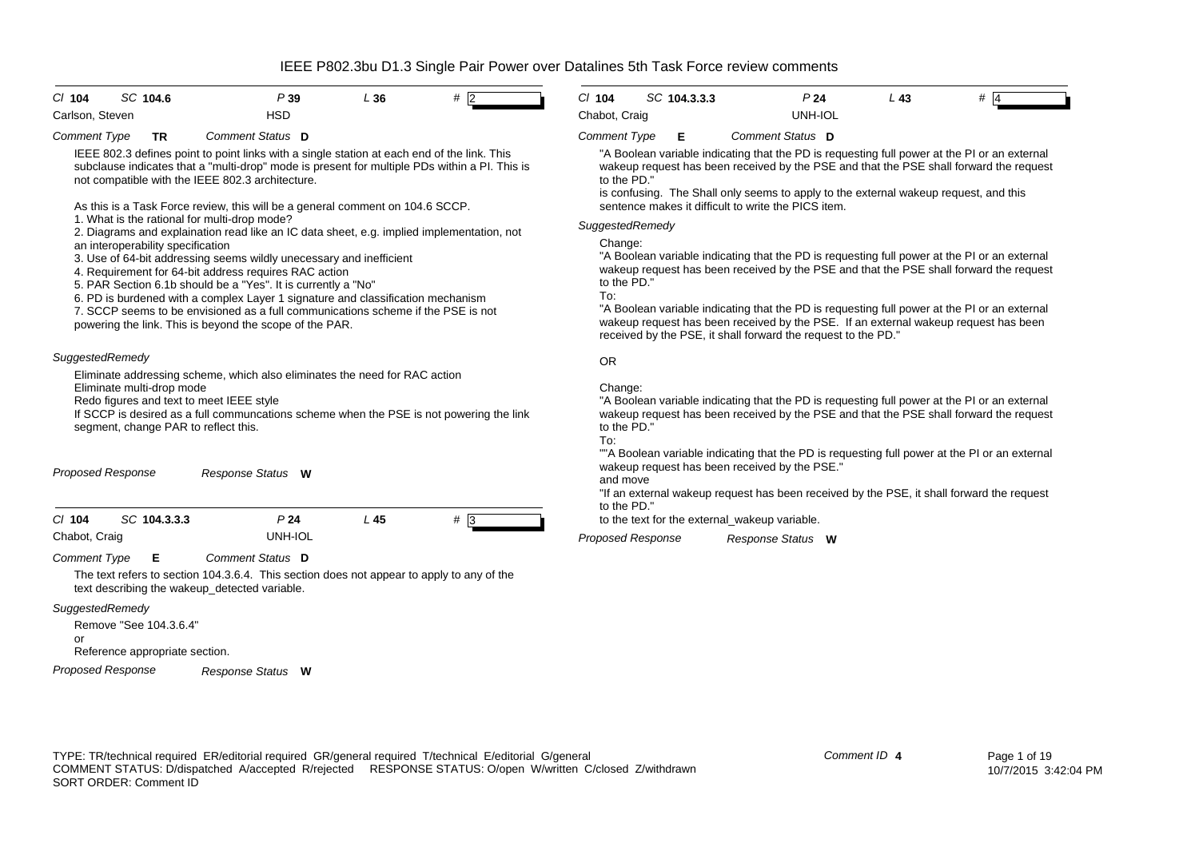| $CI$ 104                  | SC 104.6                                                 |                                                                                                                                                                                                                                                                                       | P39                        | L36                                                                                                                                                                                                                                                                                                                                                                                                                                                                                                                                                                                                                      | $#$  2       | $Cl$ 104                                                        | SC 104.3.3.3 | P <sub>24</sub>                                                                                                                                                                                                                                                                                                                                                                                                                                                                                                                                                                                                                                                                                                                                                                         | L <sub>43</sub> | $#$ 4 |
|---------------------------|----------------------------------------------------------|---------------------------------------------------------------------------------------------------------------------------------------------------------------------------------------------------------------------------------------------------------------------------------------|----------------------------|--------------------------------------------------------------------------------------------------------------------------------------------------------------------------------------------------------------------------------------------------------------------------------------------------------------------------------------------------------------------------------------------------------------------------------------------------------------------------------------------------------------------------------------------------------------------------------------------------------------------------|--------------|-----------------------------------------------------------------|--------------|-----------------------------------------------------------------------------------------------------------------------------------------------------------------------------------------------------------------------------------------------------------------------------------------------------------------------------------------------------------------------------------------------------------------------------------------------------------------------------------------------------------------------------------------------------------------------------------------------------------------------------------------------------------------------------------------------------------------------------------------------------------------------------------------|-----------------|-------|
| Carlson, Steven           |                                                          |                                                                                                                                                                                                                                                                                       | <b>HSD</b>                 |                                                                                                                                                                                                                                                                                                                                                                                                                                                                                                                                                                                                                          |              | Chabot, Craig                                                   |              | <b>UNH-IOL</b>                                                                                                                                                                                                                                                                                                                                                                                                                                                                                                                                                                                                                                                                                                                                                                          |                 |       |
| <b>Comment Type</b>       | <b>TR</b>                                                | Comment Status D                                                                                                                                                                                                                                                                      |                            |                                                                                                                                                                                                                                                                                                                                                                                                                                                                                                                                                                                                                          |              | <b>Comment Type</b>                                             | Е            | Comment Status D                                                                                                                                                                                                                                                                                                                                                                                                                                                                                                                                                                                                                                                                                                                                                                        |                 |       |
|                           | an interoperability specification                        | not compatible with the IEEE 802.3 architecture.<br>1. What is the rational for multi-drop mode?<br>4. Requirement for 64-bit address requires RAC action<br>5. PAR Section 6.1b should be a "Yes". It is currently a "No"<br>powering the link. This is beyond the scope of the PAR. |                            | IEEE 802.3 defines point to point links with a single station at each end of the link. This<br>subclause indicates that a "multi-drop" mode is present for multiple PDs within a PI. This is<br>As this is a Task Force review, this will be a general comment on 104.6 SCCP.<br>2. Diagrams and explaination read like an IC data sheet, e.g. implied implementation, not<br>3. Use of 64-bit addressing seems wildly unecessary and inefficient<br>6. PD is burdened with a complex Layer 1 signature and classification mechanism<br>7. SCCP seems to be envisioned as a full communications scheme if the PSE is not |              | to the PD."<br>SuggestedRemedy<br>Change:<br>to the PD."<br>To: |              | "A Boolean variable indicating that the PD is requesting full power at the PI or an external<br>wakeup request has been received by the PSE and that the PSE shall forward the request<br>is confusing. The Shall only seems to apply to the external wakeup request, and this<br>sentence makes it difficult to write the PICS item.<br>"A Boolean variable indicating that the PD is requesting full power at the PI or an external<br>wakeup request has been received by the PSE and that the PSE shall forward the request<br>"A Boolean variable indicating that the PD is requesting full power at the PI or an external<br>wakeup request has been received by the PSE. If an external wakeup request has been<br>received by the PSE, it shall forward the request to the PD." |                 |       |
| SuggestedRemedy           | Eliminate multi-drop mode                                | Redo figures and text to meet IEEE style<br>segment, change PAR to reflect this.                                                                                                                                                                                                      |                            | Eliminate addressing scheme, which also eliminates the need for RAC action<br>If SCCP is desired as a full communcations scheme when the PSE is not powering the link                                                                                                                                                                                                                                                                                                                                                                                                                                                    |              | <b>OR</b><br>Change:<br>to the PD."<br>To:                      |              | "A Boolean variable indicating that the PD is requesting full power at the PI or an external<br>wakeup request has been received by the PSE and that the PSE shall forward the request                                                                                                                                                                                                                                                                                                                                                                                                                                                                                                                                                                                                  |                 |       |
| <b>Proposed Response</b>  |                                                          | Response Status W                                                                                                                                                                                                                                                                     |                            |                                                                                                                                                                                                                                                                                                                                                                                                                                                                                                                                                                                                                          |              | and move<br>to the PD."                                         |              | ""A Boolean variable indicating that the PD is requesting full power at the PI or an external<br>wakeup request has been received by the PSE."<br>"If an external wakeup request has been received by the PSE, it shall forward the request                                                                                                                                                                                                                                                                                                                                                                                                                                                                                                                                             |                 |       |
| $Cl$ 104<br>Chabot, Craig | SC 104.3.3.3                                             |                                                                                                                                                                                                                                                                                       | P <sub>24</sub><br>UNH-IOL | $L$ 45                                                                                                                                                                                                                                                                                                                                                                                                                                                                                                                                                                                                                   | $# \sqrt{3}$ |                                                                 |              | to the text for the external_wakeup variable.                                                                                                                                                                                                                                                                                                                                                                                                                                                                                                                                                                                                                                                                                                                                           |                 |       |
| <b>Comment Type</b>       | Е                                                        | Comment Status D                                                                                                                                                                                                                                                                      |                            |                                                                                                                                                                                                                                                                                                                                                                                                                                                                                                                                                                                                                          |              | <b>Proposed Response</b>                                        |              | Response Status W                                                                                                                                                                                                                                                                                                                                                                                                                                                                                                                                                                                                                                                                                                                                                                       |                 |       |
|                           |                                                          | text describing the wakeup_detected variable.                                                                                                                                                                                                                                         |                            | The text refers to section 104.3.6.4. This section does not appear to apply to any of the                                                                                                                                                                                                                                                                                                                                                                                                                                                                                                                                |              |                                                                 |              |                                                                                                                                                                                                                                                                                                                                                                                                                                                                                                                                                                                                                                                                                                                                                                                         |                 |       |
| SuggestedRemedy<br>or     | Remove "See 104.3.6.4"<br>Reference appropriate section. |                                                                                                                                                                                                                                                                                       |                            |                                                                                                                                                                                                                                                                                                                                                                                                                                                                                                                                                                                                                          |              |                                                                 |              |                                                                                                                                                                                                                                                                                                                                                                                                                                                                                                                                                                                                                                                                                                                                                                                         |                 |       |

*Proposed Response Response Status* **W**

# TYPE: TR/technical required ER/editorial required GR/general required T/technical E/editorial G/general COMMENT STATUS: D/dispatched A/accepted R/rejected RESPONSE STATUS: O/open W/written C/closed Z/withdrawn SORT ORDER: Comment ID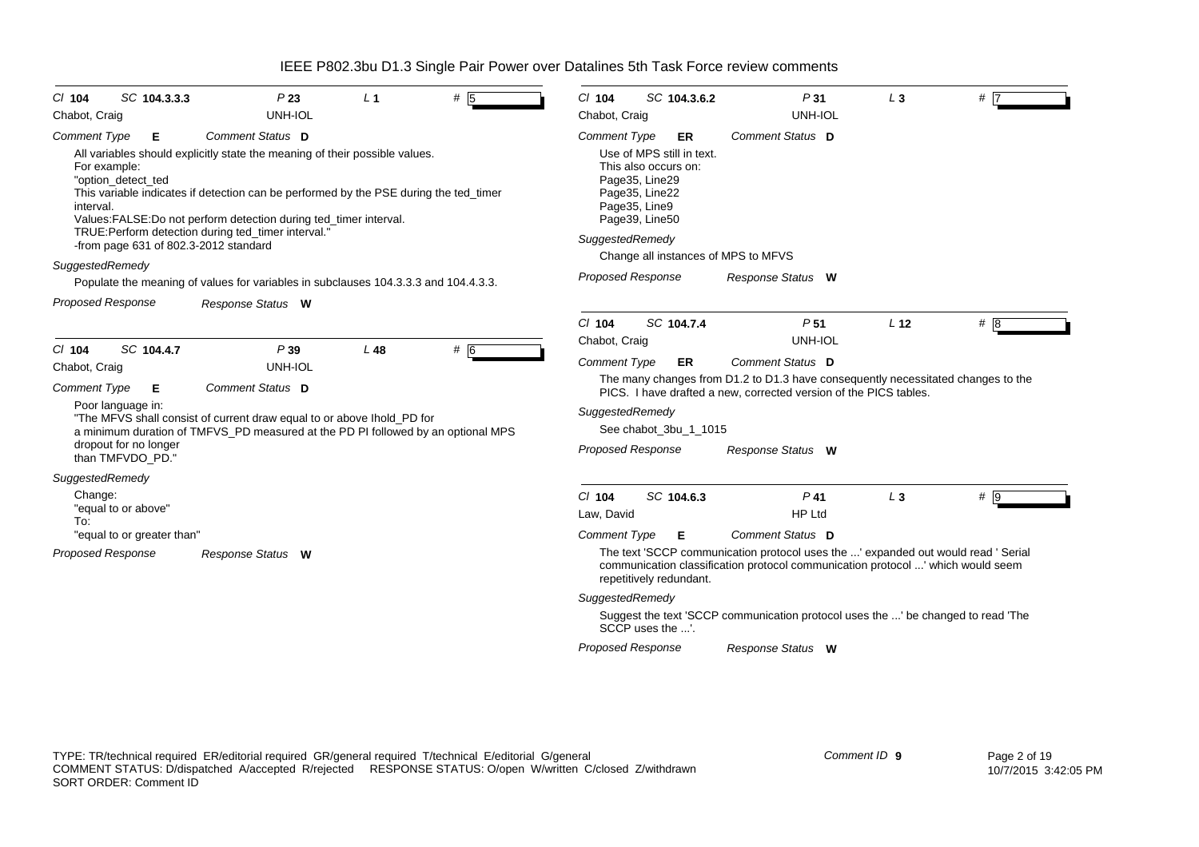| SC 104.3.3.3<br>$CI$ 104                                                                       | P23                                                                                                                                                                                                                                                                                                                                                                                                                                                   | L <sub>1</sub> | # $\overline{5}$ | $Cl$ 104                        | SC 104.3.6.2                                                                                                                                                                                      | P31                                                                                                                                                                  | $L_3$           | $#$ 7            |
|------------------------------------------------------------------------------------------------|-------------------------------------------------------------------------------------------------------------------------------------------------------------------------------------------------------------------------------------------------------------------------------------------------------------------------------------------------------------------------------------------------------------------------------------------------------|----------------|------------------|---------------------------------|---------------------------------------------------------------------------------------------------------------------------------------------------------------------------------------------------|----------------------------------------------------------------------------------------------------------------------------------------------------------------------|-----------------|------------------|
| Chabot, Craig                                                                                  | UNH-IOL                                                                                                                                                                                                                                                                                                                                                                                                                                               |                |                  | Chabot, Craig                   |                                                                                                                                                                                                   | <b>UNH-IOL</b>                                                                                                                                                       |                 |                  |
| <b>Comment Type</b><br>Е<br>For example:<br>"option detect ted<br>interval.<br>SuggestedRemedy | Comment Status D<br>All variables should explicitly state the meaning of their possible values.<br>This variable indicates if detection can be performed by the PSE during the ted timer<br>Values: FALSE: Do not perform detection during ted_timer interval.<br>TRUE: Perform detection during ted_timer interval."<br>-from page 631 of 802.3-2012 standard<br>Populate the meaning of values for variables in subclauses 104.3.3.3 and 104.4.3.3. |                |                  | Comment Type<br>SuggestedRemedy | ER<br>Use of MPS still in text.<br>This also occurs on:<br>Page35, Line29<br>Page35, Line22<br>Page35, Line9<br>Page39, Line50<br>Change all instances of MPS to MFVS<br><b>Proposed Response</b> | Comment Status D<br>Response Status W                                                                                                                                |                 |                  |
| <b>Proposed Response</b>                                                                       | Response Status W                                                                                                                                                                                                                                                                                                                                                                                                                                     |                |                  | $Cl$ 104<br>Chabot, Craig       | SC 104.7.4                                                                                                                                                                                        | P <sub>51</sub><br><b>UNH-IOL</b>                                                                                                                                    | L <sub>12</sub> | #8               |
| $Cl$ 104<br>SC 104.4.7                                                                         | P39<br>UNH-IOL                                                                                                                                                                                                                                                                                                                                                                                                                                        | L48            | # 6              | <b>Comment Type</b>             | ER                                                                                                                                                                                                | Comment Status D                                                                                                                                                     |                 |                  |
| Chabot, Craig<br><b>Comment Type</b><br>Е<br>Poor language in:                                 | Comment Status D                                                                                                                                                                                                                                                                                                                                                                                                                                      |                |                  |                                 |                                                                                                                                                                                                   | The many changes from D1.2 to D1.3 have consequently necessitated changes to the<br>PICS. I have drafted a new, corrected version of the PICS tables.                |                 |                  |
| dropout for no longer                                                                          | "The MFVS shall consist of current draw equal to or above lhold_PD for<br>a minimum duration of TMFVS PD measured at the PD PI followed by an optional MPS                                                                                                                                                                                                                                                                                            |                |                  | SuggestedRemedy                 | See chabot_3bu_1_1015                                                                                                                                                                             |                                                                                                                                                                      |                 |                  |
| than TMFVDO PD."<br>SuggestedRemedy                                                            |                                                                                                                                                                                                                                                                                                                                                                                                                                                       |                |                  | <b>Proposed Response</b>        |                                                                                                                                                                                                   | Response Status W                                                                                                                                                    |                 |                  |
| Change:<br>"equal to or above"<br>To:                                                          |                                                                                                                                                                                                                                                                                                                                                                                                                                                       |                |                  | $Cl$ 104<br>Law. David          | SC 104.6.3                                                                                                                                                                                        | $P$ 41<br>HP Ltd                                                                                                                                                     | $L_3$           | $# \overline{9}$ |
| "equal to or greater than"                                                                     |                                                                                                                                                                                                                                                                                                                                                                                                                                                       |                |                  | Comment Type                    | Е                                                                                                                                                                                                 | Comment Status D                                                                                                                                                     |                 |                  |
| <b>Proposed Response</b><br>Response Status W                                                  |                                                                                                                                                                                                                                                                                                                                                                                                                                                       |                |                  |                                 | repetitively redundant.                                                                                                                                                                           | The text 'SCCP communication protocol uses the ' expanded out would read ' Serial<br>communication classification protocol communication protocol ' which would seem |                 |                  |
|                                                                                                |                                                                                                                                                                                                                                                                                                                                                                                                                                                       |                |                  | SuggestedRemedy                 |                                                                                                                                                                                                   |                                                                                                                                                                      |                 |                  |
|                                                                                                |                                                                                                                                                                                                                                                                                                                                                                                                                                                       |                |                  |                                 | SCCP uses the '.                                                                                                                                                                                  | Suggest the text 'SCCP communication protocol uses the ' be changed to read 'The                                                                                     |                 |                  |
|                                                                                                |                                                                                                                                                                                                                                                                                                                                                                                                                                                       |                |                  | <b>Proposed Response</b>        |                                                                                                                                                                                                   | Response Status W                                                                                                                                                    |                 |                  |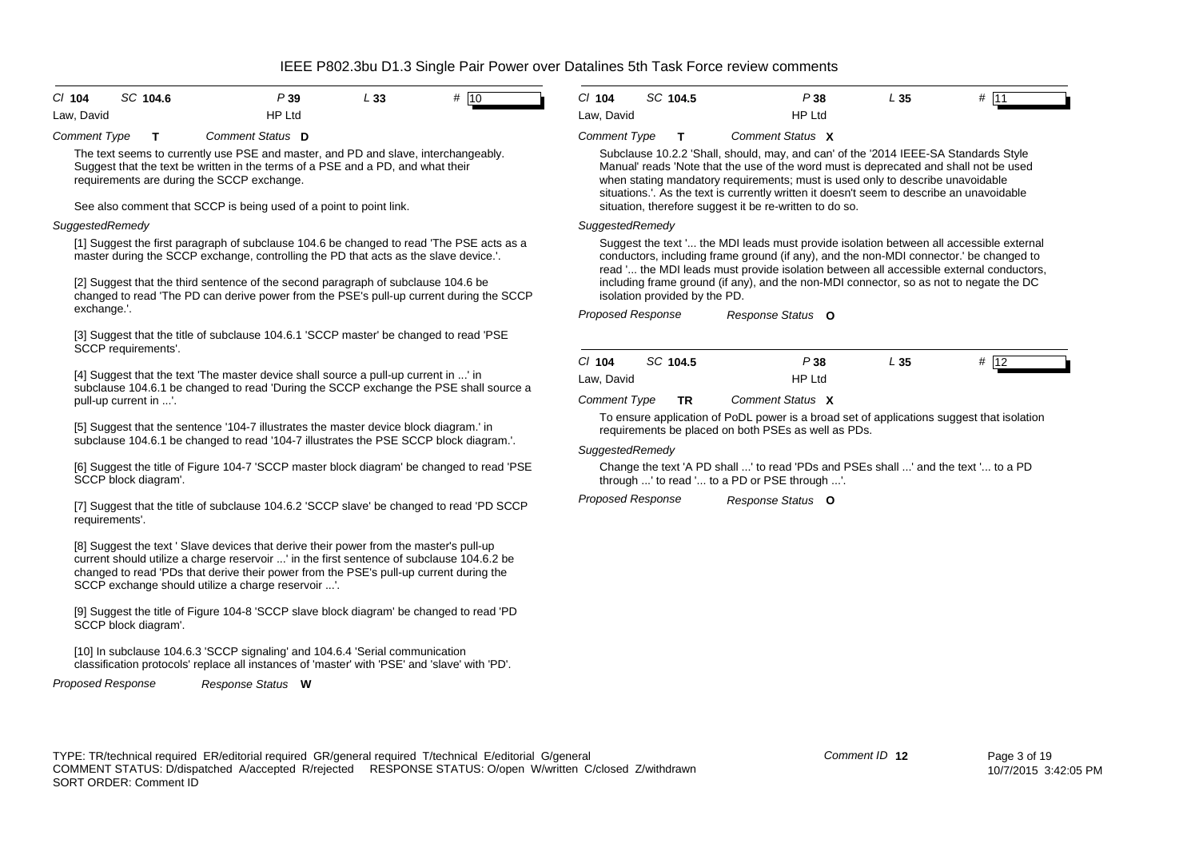| $CI$ 104   | SC 104.6 | P 39          | L 33 | # 10 |
|------------|----------|---------------|------|------|
| Law, David |          | <b>HP Ltd</b> |      |      |

*Comment Type* **T** *Comment Status* **D**

The text seems to currently use PSE and master, and PD and slave, interchangeably. Suggest that the text be written in the terms of a PSE and a PD, and what their requirements are during the SCCP exchange.

See also comment that SCCP is being used of a point to point link.

### *SuggestedRemedy*

[1] Suggest the first paragraph of subclause 104.6 be changed to read 'The PSE acts as a master during the SCCP exchange, controlling the PD that acts as the slave device.'.

[2] Suggest that the third sentence of the second paragraph of subclause 104.6 be changed to read 'The PD can derive power from the PSE's pull-up current during the SCCP exchange.'.

[3] Suggest that the title of subclause 104.6.1 'SCCP master' be changed to read 'PSE SCCP requirements'.

[4] Suggest that the text 'The master device shall source a pull-up current in ...' in subclause 104.6.1 be changed to read 'During the SCCP exchange the PSE shall source a pull-up current in ...'.

[5] Suggest that the sentence '104-7 illustrates the master device block diagram.' in subclause 104.6.1 be changed to read '104-7 illustrates the PSE SCCP block diagram.'.

[6] Suggest the title of Figure 104-7 'SCCP master block diagram' be changed to read 'PSE SCCP block diagram'.

[7] Suggest that the title of subclause 104.6.2 'SCCP slave' be changed to read 'PD SCCP requirements'.

[8] Suggest the text ' Slave devices that derive their power from the master's pull-up current should utilize a charge reservoir ...' in the first sentence of subclause 104.6.2 be changed to read 'PDs that derive their power from the PSE's pull-up current during the SCCP exchange should utilize a charge reservoir ...'.

[9] Suggest the title of Figure 104-8 'SCCP slave block diagram' be changed to read 'PD SCCP block diagram'.

[10] In subclause 104.6.3 'SCCP signaling' and 104.6.4 'Serial communication classification protocols' replace all instances of 'master' with 'PSE' and 'slave' with 'PD'.

*Proposed Response Response Status* **W**

| C/104      | SC 104.5 | P 38          | L 35 | # 11 |  |
|------------|----------|---------------|------|------|--|
| Law, David |          | <b>HP Ltd</b> |      |      |  |

#### *Comment Type* **T** *Comment Status* **X**

Subclause 10.2.2 'Shall, should, may, and can' of the '2014 IEEE-SA Standards Style Manual' reads 'Note that the use of the word must is deprecated and shall not be used when stating mandatory requirements; must is used only to describe unavoidable situations.'. As the text is currently written it doesn't seem to describe an unavoidable situation, therefore suggest it be re-written to do so.

#### *SuggestedRemedy*

Suggest the text '... the MDI leads must provide isolation between all accessible external conductors, including frame ground (if any), and the non-MDI connector.' be changed to read '... the MDI leads must provide isolation between all accessible external conductors, including frame ground (if any), and the non-MDI connector, so as not to negate the DC isolation provided by the PD.

*Proposed Response Response Status* **O**

| C/104      | SC 104.5 | P 38          | L 35 | # | 12 |
|------------|----------|---------------|------|---|----|
| Law, David |          | <b>HP Ltd</b> |      |   |    |

*Comment Type* **TR** *Comment Status* **X**

To ensure application of PoDL power is a broad set of applications suggest that isolation requirements be placed on both PSEs as well as PDs.

#### *SuggestedRemedy*

Change the text 'A PD shall ...' to read 'PDs and PSEs shall ...' and the text '... to a PD through ...' to read '... to a PD or PSE through ...'.

*Proposed Response Response Status* **O**

TYPE: TR/technical required ER/editorial required GR/general required T/technical E/editorial G/general COMMENT STATUS: D/dispatched A/accepted R/rejected RESPONSE STATUS: O/open W/written C/closed Z/withdrawn SORT ORDER: Comment ID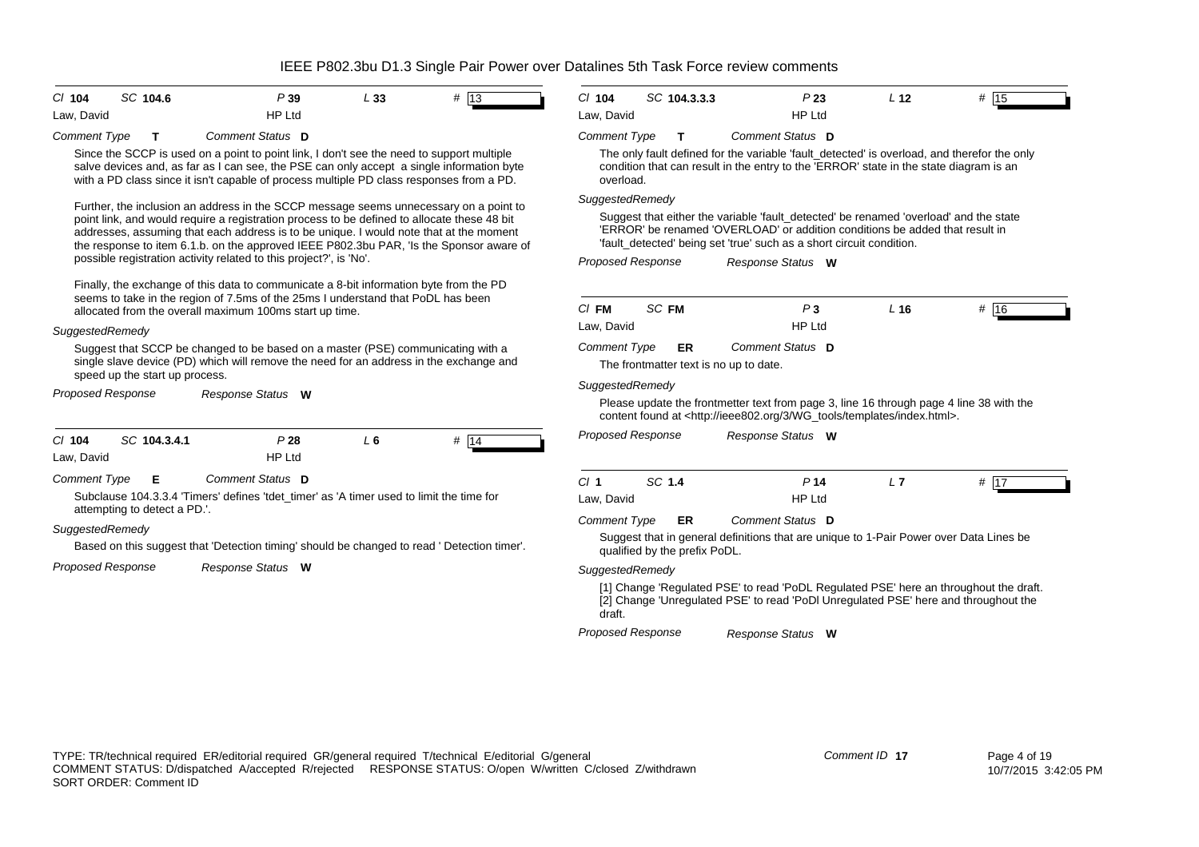| C/104      | SC 104.6 | P 39          | L 33 | # 13 |  |
|------------|----------|---------------|------|------|--|
| Law, David |          | <b>HP Ltd</b> |      |      |  |

*Comment Type* **T** *Comment Status* **D**

Since the SCCP is used on a point to point link, I don't see the need to support multiple salve devices and, as far as I can see, the PSE can only accept a single information byte with a PD class since it isn't capable of process multiple PD class responses from a PD.

Further, the inclusion an address in the SCCP message seems unnecessary on a point to point link, and would require a registration process to be defined to allocate these 48 bit addresses, assuming that each address is to be unique. I would note that at the moment the response to item 6.1.b. on the approved IEEE P802.3bu PAR, 'Is the Sponsor aware of possible registration activity related to this project?', is 'No'.

Finally, the exchange of this data to communicate a 8-bit information byte from the PD seems to take in the region of 7.5ms of the 25ms I understand that PoDL has been allocated from the overall maximum 100ms start up time.

### *SuggestedRemedy*

Suggest that SCCP be changed to be based on a master (PSE) communicating with a single slave device (PD) which will remove the need for an address in the exchange and speed up the start up process.

*Proposed Response Response Status* **W**

| $Cl$ 104                                                                                                                                                                 | SC 104.3.4.1 | P 28            | L 6 | #                                                                                          |  |  |  |  |
|--------------------------------------------------------------------------------------------------------------------------------------------------------------------------|--------------|-----------------|-----|--------------------------------------------------------------------------------------------|--|--|--|--|
| Law, David                                                                                                                                                               |              | HP Ltd          |     |                                                                                            |  |  |  |  |
| Comment Status D<br><b>Comment Type</b><br>Е<br>Subclause 104.3.3.4 'Timers' defines 'tdet timer' as 'A timer used to limit the time for<br>attempting to detect a PD.'. |              |                 |     |                                                                                            |  |  |  |  |
| SuggestedRemedy                                                                                                                                                          |              |                 |     | Based on this suggest that 'Detection timing' should be changed to read 'Detection timer'. |  |  |  |  |
| <b>Proposed Response</b>                                                                                                                                                 |              | Response Status | W   |                                                                                            |  |  |  |  |

| C/104      | SC 104.3.3.3 | P 23   | . 12 | # 15 |  |
|------------|--------------|--------|------|------|--|
| Law, David |              | HP Ltd |      |      |  |

#### *Comment Type* **T** *Comment Status* **D**

The only fault defined for the variable 'fault\_detected' is overload, and therefor the only condition that can result in the entry to the 'ERROR' state in the state diagram is an overload.

## *SuggestedRemedy*

Suggest that either the variable 'fault detected' be renamed 'overload' and the state 'ERROR' be renamed 'OVERLOAD' or addition conditions be added that result in 'fault detected' being set 'true' such as a short circuit condition.

*Proposed Response Response Status* **W**

| $C/I$ FM            | SC FM                                  | P3                                                                                                                                                                                      | L 16 | '16<br># |  |
|---------------------|----------------------------------------|-----------------------------------------------------------------------------------------------------------------------------------------------------------------------------------------|------|----------|--|
| Law, David          |                                        | HP Ltd                                                                                                                                                                                  |      |          |  |
| <b>Comment Type</b> | ER.                                    | Comment Status D                                                                                                                                                                        |      |          |  |
|                     | The frontmatter text is no up to date. |                                                                                                                                                                                         |      |          |  |
| SuggestedRemedy     |                                        |                                                                                                                                                                                         |      |          |  |
|                     |                                        | Please update the frontmetter text from page 3, line 16 through page 4 line 38 with the<br>content found at <http: 3="" ieee802.org="" index.html="" templates="" wg_tools="">.</http:> |      |          |  |
| Proposed Response   |                                        | Response Status<br>W                                                                                                                                                                    |      |          |  |

| Cl <sub>1</sub> | SC 1.4 | P 14          | ,, | .47 |
|-----------------|--------|---------------|----|-----|
| Law, David      |        | <b>HP Ltd</b> |    |     |

*Comment Type* **ER** *Comment Status* **D**

Suggest that in general definitions that are unique to 1-Pair Power over Data Lines be qualified by the prefix PoDL.

*SuggestedRemedy*

[1] Change 'Regulated PSE' to read 'PoDL Regulated PSE' here an throughout the draft. [2] Change 'Unregulated PSE' to read 'PoDl Unregulated PSE' here and throughout the draft.

*Proposed Response Response Status* **W**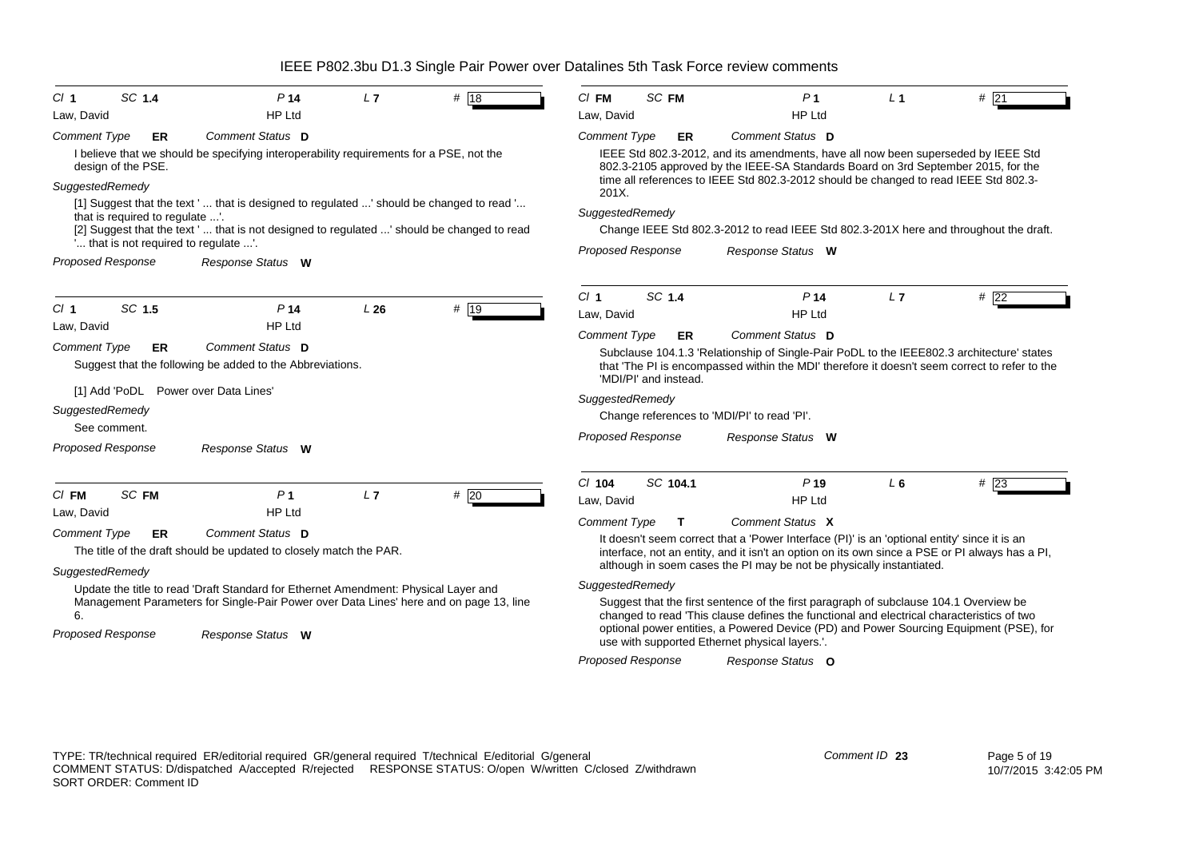| SC 1.4<br>Cl <sub>1</sub>            | P <sub>14</sub>                                                                            | L7  | # 18 | $CI$ FM                                                                                                                                                                                                                               | SC FM                    | P <sub>1</sub>                                                                                                                                                                                                                                                 | L <sub>1</sub> | # 21 |
|--------------------------------------|--------------------------------------------------------------------------------------------|-----|------|---------------------------------------------------------------------------------------------------------------------------------------------------------------------------------------------------------------------------------------|--------------------------|----------------------------------------------------------------------------------------------------------------------------------------------------------------------------------------------------------------------------------------------------------------|----------------|------|
| Law, David                           | <b>HP Ltd</b>                                                                              |     |      | Law, David                                                                                                                                                                                                                            |                          | <b>HP Ltd</b>                                                                                                                                                                                                                                                  |                |      |
| <b>Comment Type</b><br>ER            | Comment Status D                                                                           |     |      | <b>Comment Type</b>                                                                                                                                                                                                                   | ER                       | <b>Comment Status D</b>                                                                                                                                                                                                                                        |                |      |
| design of the PSE.                   | I believe that we should be specifying interoperability requirements for a PSE, not the    |     |      |                                                                                                                                                                                                                                       |                          | IEEE Std 802.3-2012, and its amendments, have all now been superseded by IEEE Std<br>802.3-2105 approved by the IEEE-SA Standards Board on 3rd September 2015, for the<br>time all references to IEEE Std 802.3-2012 should be changed to read IEEE Std 802.3- |                |      |
| SuggestedRemedy                      |                                                                                            |     |      | 201X.                                                                                                                                                                                                                                 |                          |                                                                                                                                                                                                                                                                |                |      |
| that is required to regulate '.      | [1] Suggest that the text '  that is designed to regulated ' should be changed to read '   |     |      | SuggestedRemedy                                                                                                                                                                                                                       |                          |                                                                                                                                                                                                                                                                |                |      |
|                                      | [2] Suggest that the text '  that is not designed to regulated ' should be changed to read |     |      |                                                                                                                                                                                                                                       |                          | Change IEEE Std 802.3-2012 to read IEEE Std 802.3-201X here and throughout the draft.                                                                                                                                                                          |                |      |
|                                      | " that is not required to regulate ".                                                      |     |      |                                                                                                                                                                                                                                       | <b>Proposed Response</b> | Response Status W                                                                                                                                                                                                                                              |                |      |
| <b>Proposed Response</b>             | Response Status W                                                                          |     |      |                                                                                                                                                                                                                                       |                          |                                                                                                                                                                                                                                                                |                |      |
|                                      |                                                                                            |     |      | Cl <sub>1</sub>                                                                                                                                                                                                                       | SC 1.4                   | P <sub>14</sub>                                                                                                                                                                                                                                                | L7             | #22  |
| SC 1.5<br>Cl <sub>1</sub>            | P <sub>14</sub>                                                                            | L26 | # 19 | Law, David                                                                                                                                                                                                                            |                          | <b>HP Ltd</b>                                                                                                                                                                                                                                                  |                |      |
| Law, David                           | <b>HP Ltd</b>                                                                              |     |      | <b>Comment Type</b>                                                                                                                                                                                                                   | <b>ER</b>                | Comment Status D                                                                                                                                                                                                                                               |                |      |
| <b>Comment Type</b><br>ER            | Comment Status D                                                                           |     |      |                                                                                                                                                                                                                                       |                          | Subclause 104.1.3 'Relationship of Single-Pair PoDL to the IEEE802.3 architecture' states                                                                                                                                                                      |                |      |
|                                      | Suggest that the following be added to the Abbreviations.                                  |     |      |                                                                                                                                                                                                                                       | 'MDI/PI' and instead.    | that 'The PI is encompassed within the MDI' therefore it doesn't seem correct to refer to the                                                                                                                                                                  |                |      |
| [1] Add 'PoDL Power over Data Lines' |                                                                                            |     |      | SuggestedRemedy                                                                                                                                                                                                                       |                          |                                                                                                                                                                                                                                                                |                |      |
| SuggestedRemedy                      |                                                                                            |     |      |                                                                                                                                                                                                                                       |                          | Change references to 'MDI/PI' to read 'PI'.                                                                                                                                                                                                                    |                |      |
| See comment.                         |                                                                                            |     |      | <b>Proposed Response</b>                                                                                                                                                                                                              |                          | Response Status W                                                                                                                                                                                                                                              |                |      |
| <b>Proposed Response</b>             | Response Status W                                                                          |     |      |                                                                                                                                                                                                                                       |                          |                                                                                                                                                                                                                                                                |                |      |
|                                      |                                                                                            |     |      | $Cl$ 104                                                                                                                                                                                                                              | SC 104.1                 | P <sub>19</sub>                                                                                                                                                                                                                                                | $L_6$          | #23  |
| SC FM<br>$Cl$ FM                     | P <sub>1</sub>                                                                             | L7  | #20  | Law, David                                                                                                                                                                                                                            |                          | <b>HP Ltd</b>                                                                                                                                                                                                                                                  |                |      |
| Law, David                           | <b>HP Ltd</b>                                                                              |     |      | <b>Comment Type</b>                                                                                                                                                                                                                   | Т                        | Comment Status X                                                                                                                                                                                                                                               |                |      |
| <b>Comment Type</b><br>ER            | Comment Status D                                                                           |     |      |                                                                                                                                                                                                                                       |                          | It doesn't seem correct that a 'Power Interface (PI)' is an 'optional entity' since it is an                                                                                                                                                                   |                |      |
|                                      | The title of the draft should be updated to closely match the PAR.                         |     |      |                                                                                                                                                                                                                                       |                          | interface, not an entity, and it isn't an option on its own since a PSE or PI always has a PI,                                                                                                                                                                 |                |      |
| SuggestedRemedy                      |                                                                                            |     |      |                                                                                                                                                                                                                                       |                          | although in soem cases the PI may be not be physically instantiated.                                                                                                                                                                                           |                |      |
|                                      | Update the title to read 'Draft Standard for Ethernet Amendment: Physical Layer and        |     |      | SuggestedRemedy                                                                                                                                                                                                                       |                          |                                                                                                                                                                                                                                                                |                |      |
| 6.                                   | Management Parameters for Single-Pair Power over Data Lines' here and on page 13, line     |     |      |                                                                                                                                                                                                                                       |                          | Suggest that the first sentence of the first paragraph of subclause 104.1 Overview be                                                                                                                                                                          |                |      |
| <b>Proposed Response</b>             | Response Status W                                                                          |     |      | changed to read 'This clause defines the functional and electrical characteristics of two<br>optional power entities, a Powered Device (PD) and Power Sourcing Equipment (PSE), for<br>use with supported Ethernet physical layers.". |                          |                                                                                                                                                                                                                                                                |                |      |
|                                      |                                                                                            |     |      | <b>Proposed Response</b>                                                                                                                                                                                                              |                          | Response Status O                                                                                                                                                                                                                                              |                |      |
|                                      |                                                                                            |     |      |                                                                                                                                                                                                                                       |                          |                                                                                                                                                                                                                                                                |                |      |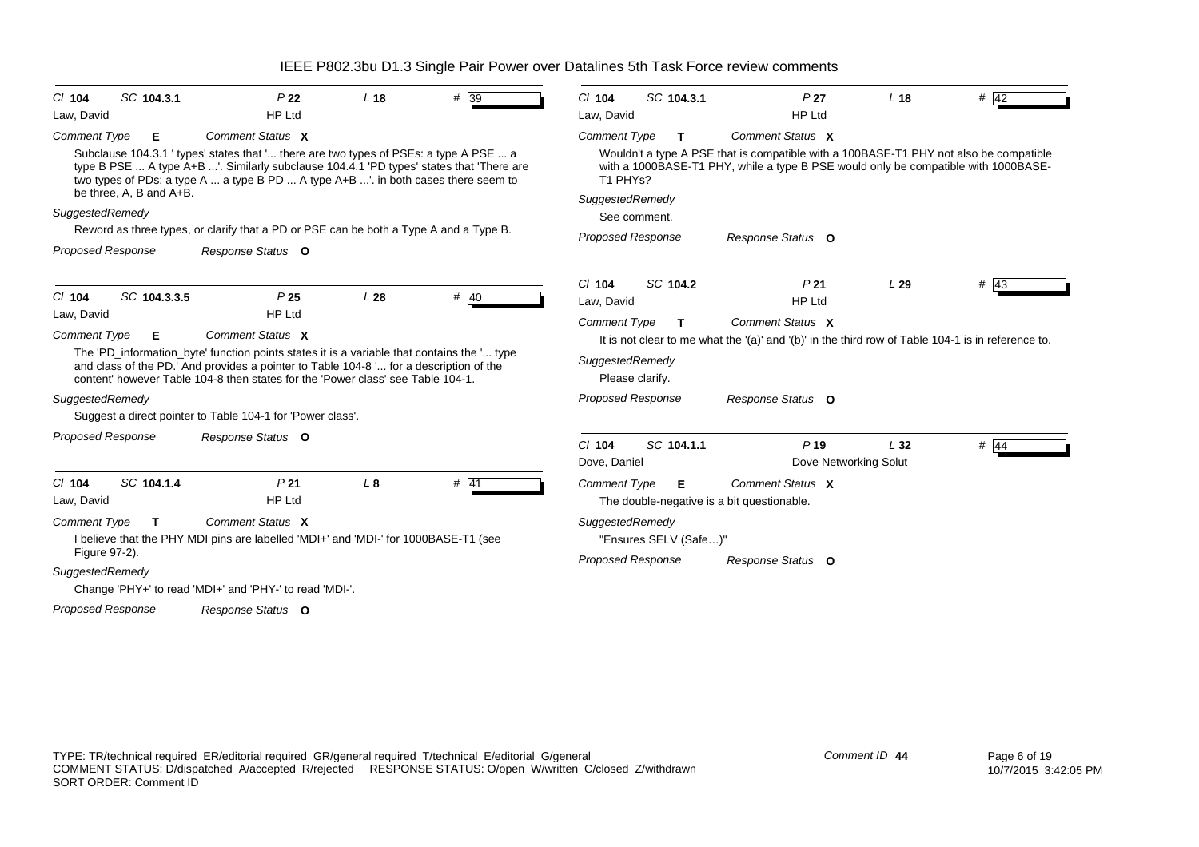| SC 104.3.1<br>$CI$ 104    | P <sub>22</sub>                                                                                                                                                                                                                                                         | L <sub>18</sub> | $# \sqrt{39}$ | $Cl$ 104<br>SC 104.3.1                     | P <sub>27</sub>                                                                                                                                                             | L <sub>18</sub> | # 42              |  |  |
|---------------------------|-------------------------------------------------------------------------------------------------------------------------------------------------------------------------------------------------------------------------------------------------------------------------|-----------------|---------------|--------------------------------------------|-----------------------------------------------------------------------------------------------------------------------------------------------------------------------------|-----------------|-------------------|--|--|
| Law, David                | <b>HP Ltd</b>                                                                                                                                                                                                                                                           |                 |               | Law, David                                 | <b>HP Ltd</b>                                                                                                                                                               |                 |                   |  |  |
| Comment Type<br>Е         | Comment Status X                                                                                                                                                                                                                                                        |                 |               | <b>Comment Type</b><br>т                   | Comment Status X                                                                                                                                                            |                 |                   |  |  |
| be three, A, B and A+B.   | Subclause 104.3.1 ' types' states that ' there are two types of PSEs: a type A PSE  a<br>type B PSE  A type A+B '. Similarly subclause 104.4.1 'PD types' states that 'There are<br>two types of PDs: a type A  a type B PD  A type A+B '. in both cases there seem to  |                 |               | T1 PHYs?                                   | Wouldn't a type A PSE that is compatible with a 100BASE-T1 PHY not also be compatible<br>with a 1000BASE-T1 PHY, while a type B PSE would only be compatible with 1000BASE- |                 |                   |  |  |
| SuggestedRemedy           |                                                                                                                                                                                                                                                                         |                 |               | SuggestedRemedy                            |                                                                                                                                                                             |                 |                   |  |  |
|                           | Reword as three types, or clarify that a PD or PSE can be both a Type A and a Type B.                                                                                                                                                                                   |                 |               | See comment.                               |                                                                                                                                                                             |                 |                   |  |  |
| Proposed Response         | Response Status O                                                                                                                                                                                                                                                       |                 |               | <b>Proposed Response</b>                   | Response Status O                                                                                                                                                           |                 |                   |  |  |
|                           |                                                                                                                                                                                                                                                                         |                 |               | SC 104.2<br>$Cl$ 104                       | P <sub>21</sub>                                                                                                                                                             | L29             | $# \overline{43}$ |  |  |
| SC 104.3.3.5<br>$Cl$ 104  | P <sub>25</sub>                                                                                                                                                                                                                                                         | L28             | # 40          | Law, David                                 | <b>HP Ltd</b>                                                                                                                                                               |                 |                   |  |  |
| Law, David                | <b>HP Ltd</b>                                                                                                                                                                                                                                                           |                 |               | <b>Comment Type</b><br>т                   | Comment Status X                                                                                                                                                            |                 |                   |  |  |
| <b>Comment Type</b><br>Е  | Comment Status X                                                                                                                                                                                                                                                        |                 |               |                                            | It is not clear to me what the '(a)' and '(b)' in the third row of Table 104-1 is in reference to.                                                                          |                 |                   |  |  |
|                           | The 'PD_information_byte' function points states it is a variable that contains the ' type<br>and class of the PD.' And provides a pointer to Table 104-8 ' for a description of the<br>content' however Table 104-8 then states for the 'Power class' see Table 104-1. |                 |               | SuggestedRemedy<br>Please clarify.         |                                                                                                                                                                             |                 |                   |  |  |
| SuggestedRemedy           |                                                                                                                                                                                                                                                                         |                 |               | <b>Proposed Response</b>                   | Response Status O                                                                                                                                                           |                 |                   |  |  |
|                           | Suggest a direct pointer to Table 104-1 for 'Power class'.                                                                                                                                                                                                              |                 |               |                                            |                                                                                                                                                                             |                 |                   |  |  |
| <b>Proposed Response</b>  | Response Status O                                                                                                                                                                                                                                                       |                 |               | $Cl$ 104<br>SC 104.1.1                     |                                                                                                                                                                             |                 |                   |  |  |
|                           |                                                                                                                                                                                                                                                                         |                 |               | Dove, Daniel                               | $P$ 19<br>Dove Networking Solut                                                                                                                                             | L32             | $#$ 44            |  |  |
| $Cl$ 104<br>SC 104.1.4    | P <sub>21</sub>                                                                                                                                                                                                                                                         | L8              | $#$ 41        | <b>Comment Type</b><br>Е                   | Comment Status X                                                                                                                                                            |                 |                   |  |  |
| Law, David                | <b>HP Ltd</b>                                                                                                                                                                                                                                                           |                 |               | The double-negative is a bit questionable. |                                                                                                                                                                             |                 |                   |  |  |
| <b>Comment Type</b><br>T. | Comment Status X                                                                                                                                                                                                                                                        |                 |               | SuggestedRemedy                            |                                                                                                                                                                             |                 |                   |  |  |
| Figure 97-2).             | I believe that the PHY MDI pins are labelled 'MDI+' and 'MDI-' for 1000BASE-T1 (see                                                                                                                                                                                     |                 |               | "Ensures SELV (Safe)"                      |                                                                                                                                                                             |                 |                   |  |  |
| SuggestedRemedy           |                                                                                                                                                                                                                                                                         |                 |               | <b>Proposed Response</b>                   | Response Status O                                                                                                                                                           |                 |                   |  |  |
|                           | Change 'PHY+' to read 'MDI+' and 'PHY-' to read 'MDI-'.                                                                                                                                                                                                                 |                 |               |                                            |                                                                                                                                                                             |                 |                   |  |  |
| <b>Proposed Response</b>  | Response Status O                                                                                                                                                                                                                                                       |                 |               |                                            |                                                                                                                                                                             |                 |                   |  |  |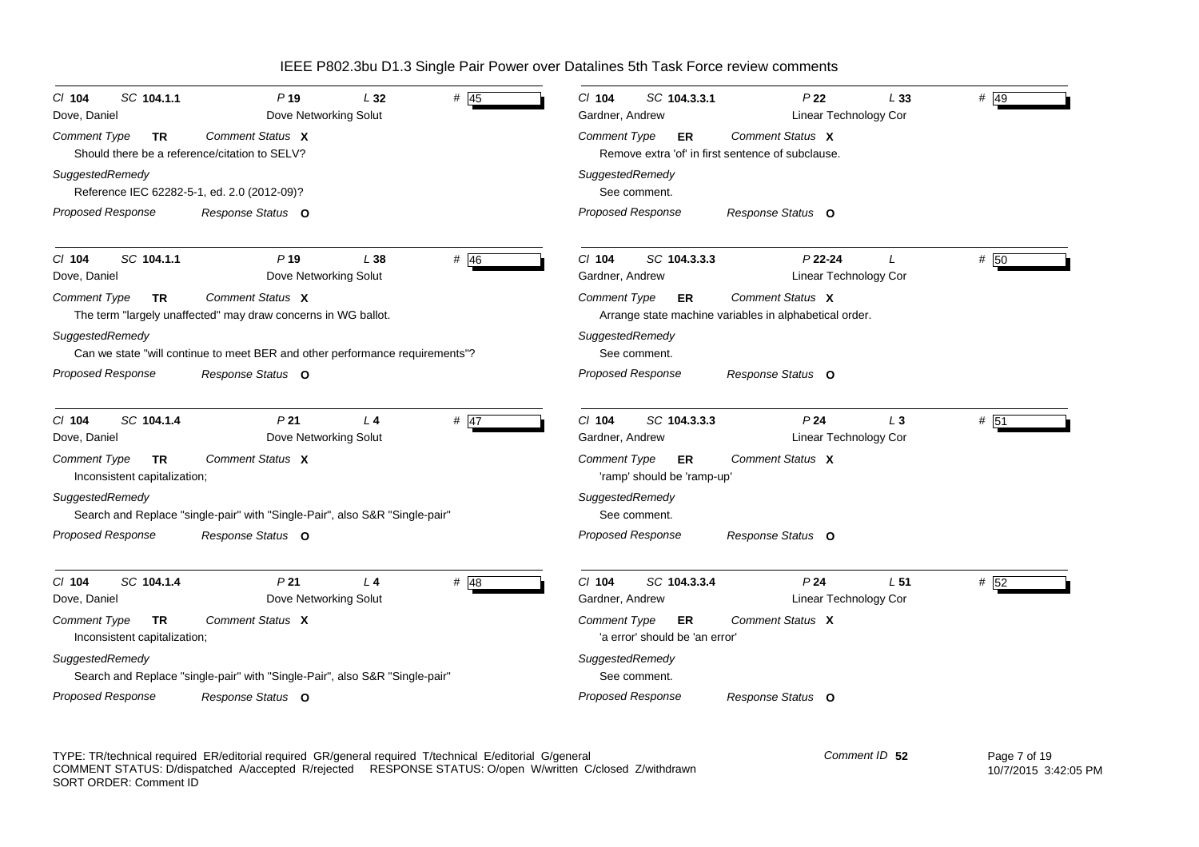| SC 104.1.1<br>$Cl$ 104<br>Dove, Daniel                    | P <sub>19</sub><br>Dove Networking Solut                                          | L32            | # $45$ | $Cl$ 104<br>SC 104.3.3.1<br>Gardner, Andrew                                    | P22<br><b>Linear Technology Cor</b>                                        | L33             | $#$ 49 |
|-----------------------------------------------------------|-----------------------------------------------------------------------------------|----------------|--------|--------------------------------------------------------------------------------|----------------------------------------------------------------------------|-----------------|--------|
| Comment Type<br>TR                                        | Comment Status X<br>Should there be a reference/citation to SELV?                 |                |        | <b>Comment Type</b><br>ER<br>Remove extra 'of' in first sentence of subclause. | Comment Status X                                                           |                 |        |
| SuggestedRemedy                                           | Reference IEC 62282-5-1, ed. 2.0 (2012-09)?                                       |                |        | SuggestedRemedy<br>See comment.                                                |                                                                            |                 |        |
| <b>Proposed Response</b>                                  | Response Status O                                                                 |                |        | Proposed Response                                                              | Response Status O                                                          |                 |        |
| SC 104.1.1<br>$Cl$ 104<br>Dove, Daniel                    | P <sub>19</sub><br>Dove Networking Solut                                          | L38            | # 46   | SC 104.3.3.3<br>$Cl$ 104<br>Gardner, Andrew                                    | $P$ 22-24<br>Linear Technology Cor                                         | $\overline{I}$  | # 50   |
| Comment Type<br><b>TR</b>                                 | Comment Status X<br>The term "largely unaffected" may draw concerns in WG ballot. |                |        | <b>Comment Type</b><br>ER.                                                     | Comment Status X<br>Arrange state machine variables in alphabetical order. |                 |        |
| SuggestedRemedy                                           | Can we state "will continue to meet BER and other performance requirements"?      |                |        | SuggestedRemedy<br>See comment.                                                |                                                                            |                 |        |
| Proposed Response                                         | Response Status O                                                                 |                |        | <b>Proposed Response</b>                                                       | Response Status O                                                          |                 |        |
| SC 104.1.4<br>$Cl$ 104<br>Dove, Daniel                    | P <sub>21</sub><br>Dove Networking Solut                                          | $L$ 4          | $#$ 47 | $Cl$ 104<br>SC 104.3.3.3<br>Gardner, Andrew                                    | P <sub>24</sub><br>Linear Technology Cor                                   | $L_3$           | # 51   |
| <b>Comment Type</b><br>TR<br>Inconsistent capitalization; | Comment Status X                                                                  |                |        | <b>Comment Type</b><br>ER<br>'ramp' should be 'ramp-up'                        | Comment Status X                                                           |                 |        |
| SuggestedRemedy                                           | Search and Replace "single-pair" with "Single-Pair", also S&R "Single-pair"       |                |        | SuggestedRemedy<br>See comment.                                                |                                                                            |                 |        |
| <b>Proposed Response</b>                                  | Response Status O                                                                 |                |        | Proposed Response                                                              | Response Status O                                                          |                 |        |
| SC 104.1.4<br>$Cl$ 104<br>Dove, Daniel                    | P <sub>21</sub><br>Dove Networking Solut                                          | L <sub>4</sub> | # $48$ | SC 104.3.3.4<br>$Cl$ 104<br>Gardner, Andrew                                    | P <sub>24</sub><br>Linear Technology Cor                                   | L <sub>51</sub> | # 52   |
| Comment Type<br>TR<br>Inconsistent capitalization;        | Comment Status X                                                                  |                |        | <b>Comment Type</b><br>ER<br>'a error' should be 'an error'                    | Comment Status X                                                           |                 |        |
| SuggestedRemedy                                           | Search and Replace "single-pair" with "Single-Pair", also S&R "Single-pair"       |                |        | SuggestedRemedy<br>See comment.                                                |                                                                            |                 |        |
| <b>Proposed Response</b>                                  | Response Status O                                                                 |                |        | Proposed Response                                                              | Response Status O                                                          |                 |        |

TYPE: TR/technical required ER/editorial required GR/general required T/technical E/editorial G/general COMMENT STATUS: D/dispatched A/accepted R/rejected RESPONSE STATUS: O/open W/written C/closed Z/withdrawn SORT ORDER: Comment ID *Comment ID* **52**

 Page 7 of 19 10/7/2015 3:42:05 PM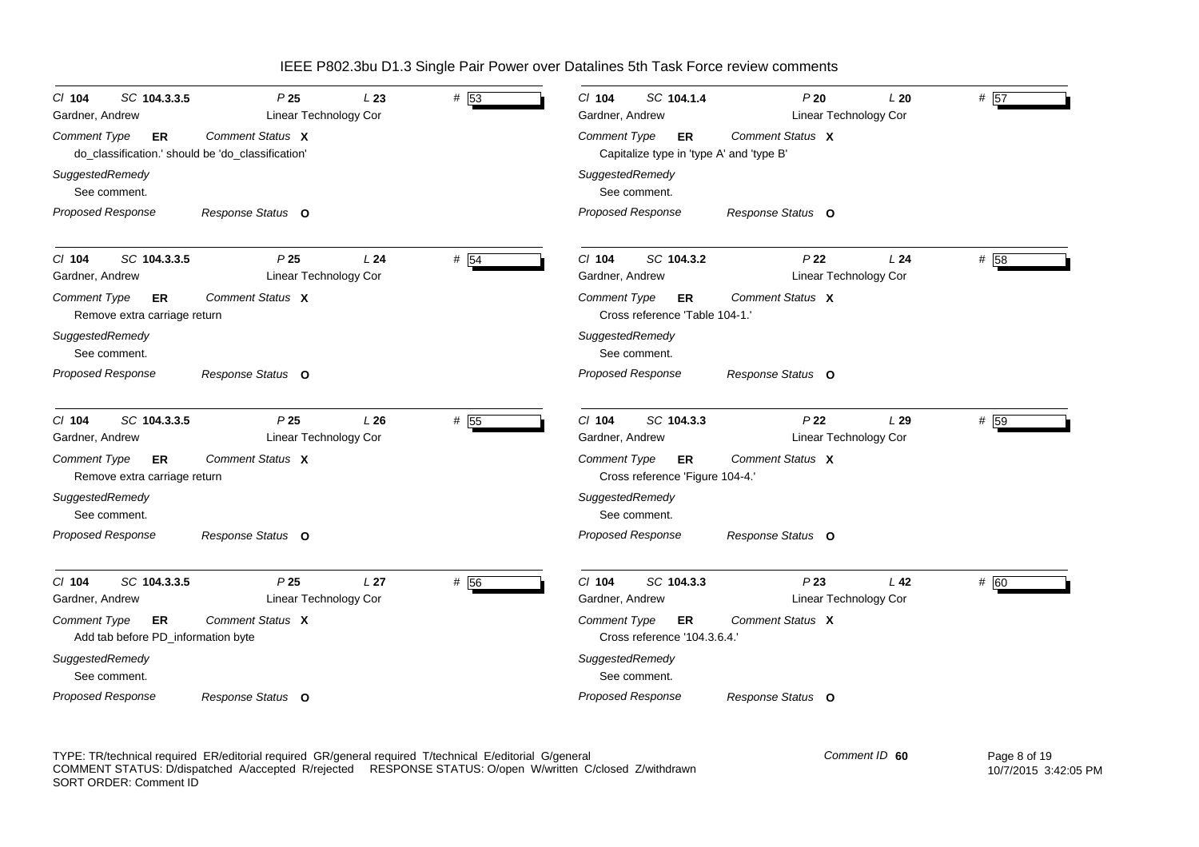| SC 104.3.3.5<br>$CI$ 104<br>Gardner, Andrew                                    | P <sub>25</sub><br><b>Linear Technology Cor</b> | L23             | # 53 | SC 104.1.4<br>$CI$ 104<br>Gardner, Andrew                             | P20<br>Linear Technology Cor             | L20             | # 57 |
|--------------------------------------------------------------------------------|-------------------------------------------------|-----------------|------|-----------------------------------------------------------------------|------------------------------------------|-----------------|------|
| <b>Comment Type</b><br>ER<br>do_classification.' should be 'do_classification' | Comment Status X                                |                 |      | <b>Comment Type</b><br>ER<br>Capitalize type in 'type A' and 'type B' | Comment Status X                         |                 |      |
| SuggestedRemedy<br>See comment.                                                |                                                 |                 |      | SuggestedRemedy<br>See comment.                                       |                                          |                 |      |
| Proposed Response                                                              | Response Status O                               |                 |      | Proposed Response                                                     | Response Status O                        |                 |      |
| SC 104.3.3.5<br>$Cl$ 104<br>Gardner, Andrew                                    | P <sub>25</sub><br>Linear Technology Cor        | L <sub>24</sub> | # 54 | $Cl$ 104<br>SC 104.3.2<br>Gardner, Andrew                             | P <sub>22</sub><br>Linear Technology Cor | L24             | # 58 |
| Comment Type<br>ER<br>Remove extra carriage return                             | Comment Status X                                |                 |      | Comment Type<br><b>ER</b><br>Cross reference 'Table 104-1.'           | Comment Status X                         |                 |      |
| SuggestedRemedy<br>See comment.                                                |                                                 |                 |      | SuggestedRemedy<br>See comment.                                       |                                          |                 |      |
| Proposed Response                                                              | Response Status O                               |                 |      | Proposed Response                                                     | Response Status O                        |                 |      |
| SC 104.3.3.5<br>C/ 104<br>Gardner, Andrew                                      | P <sub>25</sub><br><b>Linear Technology Cor</b> | L26             | # 55 | $Cl$ 104<br>SC 104.3.3<br>Gardner, Andrew                             | P <sub>22</sub><br>Linear Technology Cor | L29             | # 59 |
| Comment Type<br><b>ER</b><br>Remove extra carriage return                      | Comment Status X                                |                 |      | <b>Comment Type</b><br>ER.<br>Cross reference 'Figure 104-4.'         | Comment Status X                         |                 |      |
| SuggestedRemedy<br>See comment.                                                |                                                 |                 |      | SuggestedRemedy<br>See comment.                                       |                                          |                 |      |
| Proposed Response                                                              | Response Status O                               |                 |      | Proposed Response                                                     | Response Status O                        |                 |      |
| SC 104.3.3.5<br>$CI$ 104<br>Gardner, Andrew                                    | P <sub>25</sub><br>Linear Technology Cor        | L <sub>27</sub> | # 56 | $Cl$ 104<br>SC 104.3.3<br>Gardner, Andrew                             | P23<br>Linear Technology Cor             | L <sub>42</sub> | # 60 |
| <b>Comment Type</b><br>ER<br>Add tab before PD_information byte                | Comment Status X                                |                 |      | <b>Comment Type</b><br>ER<br>Cross reference '104.3.6.4.'             | Comment Status X                         |                 |      |
| SuggestedRemedy<br>See comment.                                                |                                                 |                 |      | SuggestedRemedy<br>See comment.                                       |                                          |                 |      |
| Proposed Response                                                              | Response Status O                               |                 |      | Proposed Response                                                     | Response Status O                        |                 |      |

TYPE: TR/technical required ER/editorial required GR/general required T/technical E/editorial G/general COMMENT STATUS: D/dispatched A/accepted R/rejected RESPONSE STATUS: O/open W/written C/closed Z/withdrawn SORT ORDER: Comment ID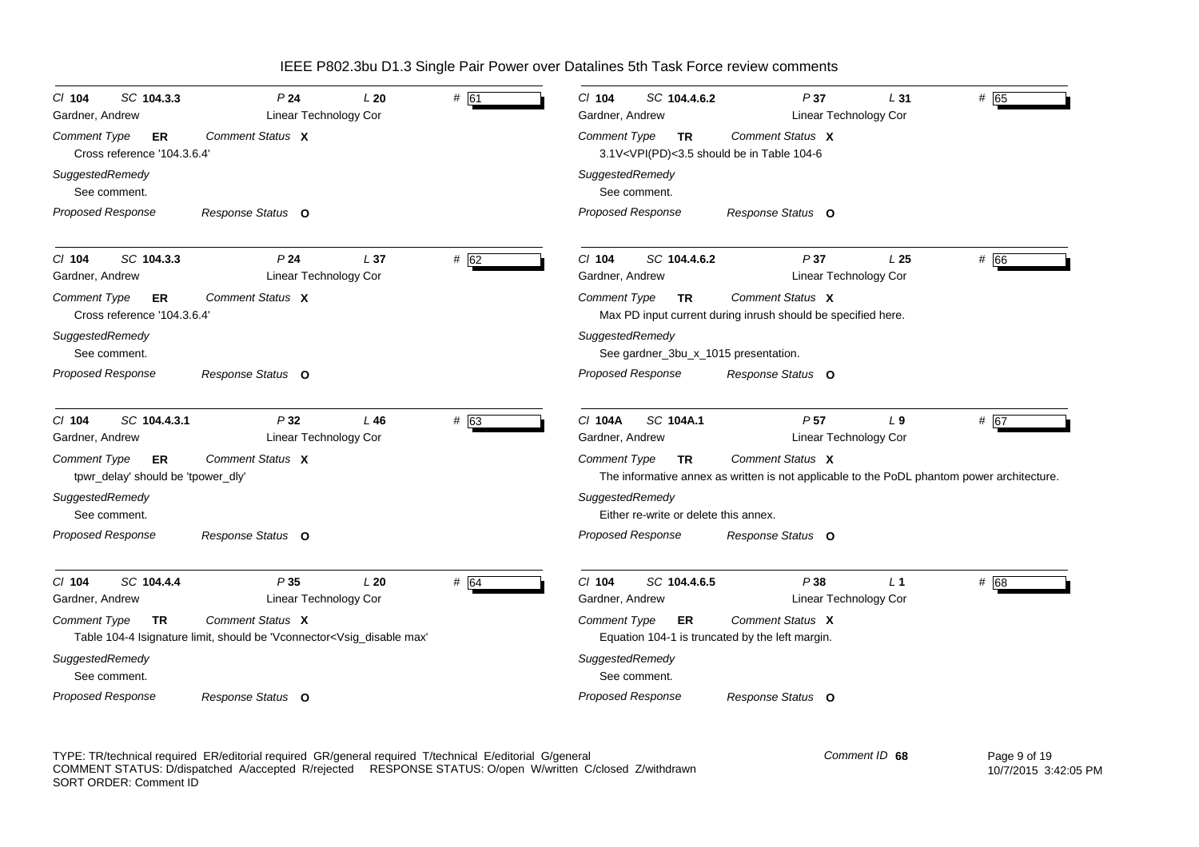| SC 104.3.3<br>$CI$ 104<br>Gardner, Andrew                              | P <sub>24</sub><br>Linear Technology Cor                                                                                                                                                                                                                                 | L20             | # 61 | SC 104.4.6.2<br>CI 104<br>Gardner, Andrew                                                                                                               | P37<br>Linear Technology Cor             | L31             | # 65 |
|------------------------------------------------------------------------|--------------------------------------------------------------------------------------------------------------------------------------------------------------------------------------------------------------------------------------------------------------------------|-----------------|------|---------------------------------------------------------------------------------------------------------------------------------------------------------|------------------------------------------|-----------------|------|
| <b>Comment Type</b><br>ER<br>Cross reference '104.3.6.4'               | Comment Status X                                                                                                                                                                                                                                                         |                 |      | Comment Type<br><b>TR</b><br>3.1V <vpi(pd)<3.5 104-6<="" be="" in="" should="" table="" th=""><th>Comment Status X</th><th></th><th></th></vpi(pd)<3.5> | Comment Status X                         |                 |      |
| SuggestedRemedy<br>See comment.                                        |                                                                                                                                                                                                                                                                          |                 |      | SuggestedRemedy<br>See comment.                                                                                                                         |                                          |                 |      |
| <b>Proposed Response</b>                                               | Response Status O                                                                                                                                                                                                                                                        |                 |      | <b>Proposed Response</b>                                                                                                                                | Response Status O                        |                 |      |
| $Cl$ 104<br>SC 104.3.3<br>Gardner, Andrew                              | P <sub>24</sub><br>Linear Technology Cor                                                                                                                                                                                                                                 | L <sub>37</sub> | # 62 | $Cl$ 104<br>SC 104.4.6.2<br>Gardner, Andrew                                                                                                             | P37<br>Linear Technology Cor             | L <sub>25</sub> | # 66 |
| <b>Comment Type</b><br>ER<br>Cross reference '104.3.6.4'               | Comment Status X                                                                                                                                                                                                                                                         |                 |      | Comment Type<br><b>TR</b><br>Max PD input current during inrush should be specified here.                                                               | Comment Status X                         |                 |      |
| SuggestedRemedy<br>See comment.                                        |                                                                                                                                                                                                                                                                          |                 |      | SuggestedRemedy<br>See gardner_3bu_x_1015 presentation.                                                                                                 |                                          |                 |      |
| <b>Proposed Response</b>                                               | Response Status O                                                                                                                                                                                                                                                        |                 |      | <b>Proposed Response</b>                                                                                                                                | Response Status O                        |                 |      |
| SC 104.4.3.1<br>$CI$ 104<br>Gardner, Andrew                            | P32<br>Linear Technology Cor                                                                                                                                                                                                                                             | $L$ 46          | # 63 | C/ 104A<br>SC 104A.1<br>Gardner, Andrew                                                                                                                 | P <sub>57</sub><br>Linear Technology Cor | L <sub>9</sub>  | # 67 |
| <b>Comment Type</b><br><b>ER</b><br>tpwr_delay' should be 'tpower_dly' | Comment Status X                                                                                                                                                                                                                                                         |                 |      | <b>Comment Type</b><br><b>TR</b><br>The informative annex as written is not applicable to the PoDL phantom power architecture.                          | Comment Status X                         |                 |      |
| SuggestedRemedy<br>See comment.                                        |                                                                                                                                                                                                                                                                          |                 |      | SuggestedRemedy<br>Either re-write or delete this annex.                                                                                                |                                          |                 |      |
| Proposed Response                                                      | Response Status O                                                                                                                                                                                                                                                        |                 |      | Proposed Response                                                                                                                                       | Response Status O                        |                 |      |
| SC 104.4.4<br>C/ 104<br>Gardner, Andrew                                | P35<br>Linear Technology Cor                                                                                                                                                                                                                                             | L20             | # 64 | $Cl$ 104<br>SC 104.4.6.5<br>Gardner, Andrew                                                                                                             | P38<br>Linear Technology Cor             | $L_1$           | # 68 |
| Comment Type<br>TR                                                     | Comment Status X<br>Table 104-4 Isignature limit, should be 'Vconnector <vsig_disable max'<="" td=""><td></td><td></td><td><b>Comment Type</b><br/>ER<br/>Equation 104-1 is truncated by the left margin.</td><td>Comment Status X</td><td></td><td></td></vsig_disable> |                 |      | <b>Comment Type</b><br>ER<br>Equation 104-1 is truncated by the left margin.                                                                            | Comment Status X                         |                 |      |
| SuggestedRemedy<br>See comment.                                        |                                                                                                                                                                                                                                                                          |                 |      | SuggestedRemedy<br>See comment.                                                                                                                         |                                          |                 |      |
| Proposed Response                                                      | Response Status O                                                                                                                                                                                                                                                        |                 |      | Proposed Response                                                                                                                                       | Response Status O                        |                 |      |

TYPE: TR/technical required ER/editorial required GR/general required T/technical E/editorial G/general COMMENT STATUS: D/dispatched A/accepted R/rejected RESPONSE STATUS: O/open W/written C/closed Z/withdrawn SORT ORDER: Comment ID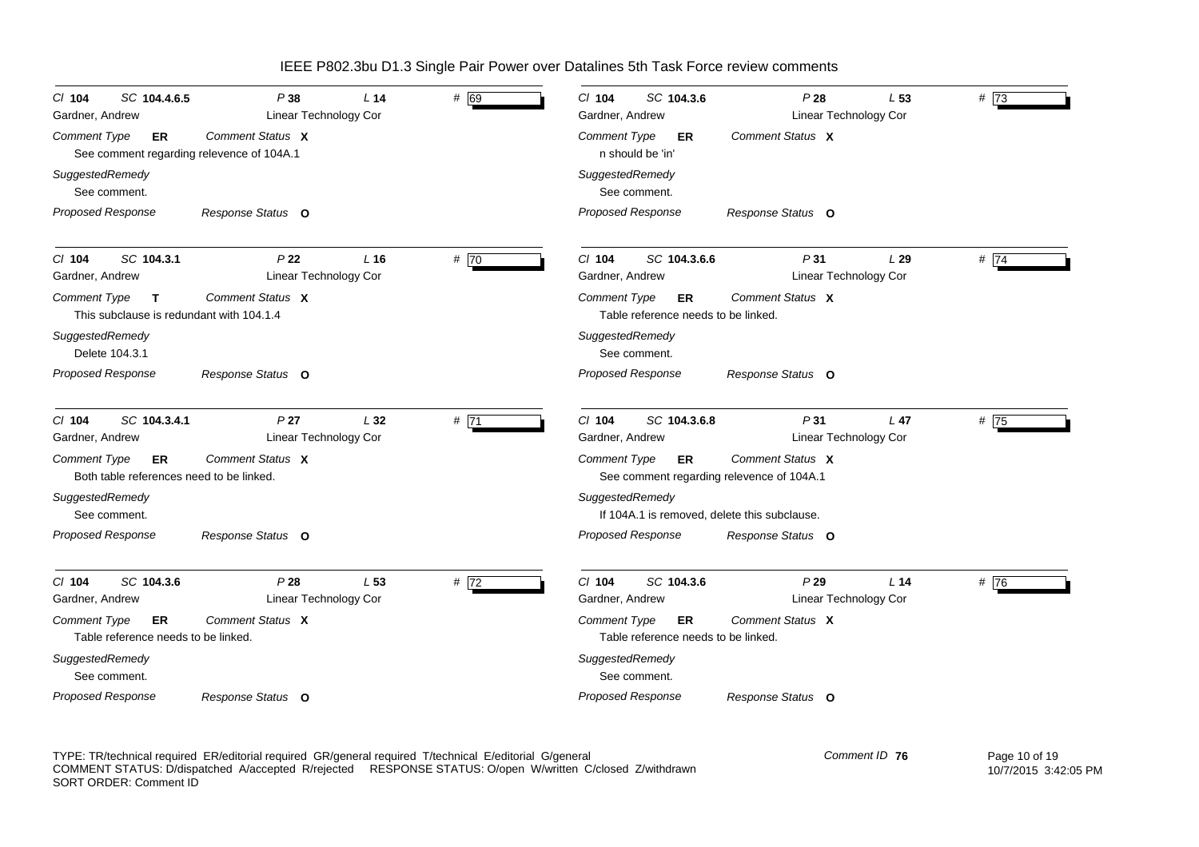| SC 104.4.6.5<br>$CI$ 104<br>Gardner, Andrew                                     | P38<br>Linear Technology Cor             | L <sub>14</sub> | # 69 | SC 104.3.6<br>$Cl$ 104<br>Gardner, Andrew                               | P28<br>Linear Technology Cor | L 53            | #73  |
|---------------------------------------------------------------------------------|------------------------------------------|-----------------|------|-------------------------------------------------------------------------|------------------------------|-----------------|------|
| <b>Comment Type</b><br>ER<br>See comment regarding relevence of 104A.1          | Comment Status X                         |                 |      | <b>Comment Type</b><br>ER.<br>n should be 'in'                          | Comment Status X             |                 |      |
| SuggestedRemedy<br>See comment.                                                 |                                          |                 |      | SuggestedRemedy<br>See comment.                                         |                              |                 |      |
| <b>Proposed Response</b>                                                        | Response Status O                        |                 |      | Proposed Response                                                       | Response Status O            |                 |      |
| SC 104.3.1<br>$CI$ 104<br>Gardner, Andrew                                       | P22<br>Linear Technology Cor             | L <sub>16</sub> | # 70 | $Cl$ 104<br>SC 104.3.6.6<br>Gardner, Andrew                             | P31<br>Linear Technology Cor | L29             | #74  |
| <b>Comment Type</b><br>$\mathbf{T}$<br>This subclause is redundant with 104.1.4 | Comment Status X                         |                 |      | Comment Type<br><b>ER</b><br>Table reference needs to be linked.        | Comment Status X             |                 |      |
| SuggestedRemedy<br>Delete 104.3.1                                               |                                          |                 |      | SuggestedRemedy<br>See comment.                                         |                              |                 |      |
| <b>Proposed Response</b>                                                        | Response Status O                        |                 |      | <b>Proposed Response</b>                                                | Response Status O            |                 |      |
| SC 104.3.4.1<br>C/ 104<br>Gardner, Andrew                                       | P <sub>27</sub><br>Linear Technology Cor | L32             | # 71 | $Cl$ 104<br>SC 104.3.6.8<br>Gardner, Andrew                             | P31<br>Linear Technology Cor | L <sub>47</sub> | # 75 |
| <b>Comment Type</b><br><b>ER</b><br>Both table references need to be linked.    | Comment Status X                         |                 |      | <b>Comment Type</b><br>ER.<br>See comment regarding relevence of 104A.1 | Comment Status X             |                 |      |
| SuggestedRemedy<br>See comment.                                                 |                                          |                 |      | SuggestedRemedy<br>If 104A.1 is removed, delete this subclause.         |                              |                 |      |
| Proposed Response                                                               | Response Status O                        |                 |      | Proposed Response                                                       | Response Status O            |                 |      |
| SC 104.3.6<br>$Cl$ 104<br>Gardner, Andrew                                       | P28<br>Linear Technology Cor             | L <sub>53</sub> | # 72 | $Cl$ 104<br>SC 104.3.6<br>Gardner, Andrew                               | P29<br>Linear Technology Cor | L <sub>14</sub> | # 76 |
| <b>Comment Type</b><br>ER<br>Table reference needs to be linked.                | Comment Status X                         |                 |      | <b>Comment Type</b><br>ER<br>Table reference needs to be linked.        | Comment Status X             |                 |      |
| SuggestedRemedy<br>See comment.                                                 |                                          |                 |      | SuggestedRemedy<br>See comment.                                         |                              |                 |      |
| <b>Proposed Response</b>                                                        | Response Status O                        |                 |      | <b>Proposed Response</b>                                                | Response Status O            |                 |      |

TYPE: TR/technical required ER/editorial required GR/general required T/technical E/editorial G/general COMMENT STATUS: D/dispatched A/accepted R/rejected RESPONSE STATUS: O/open W/written C/closed Z/withdrawn SORT ORDER: Comment ID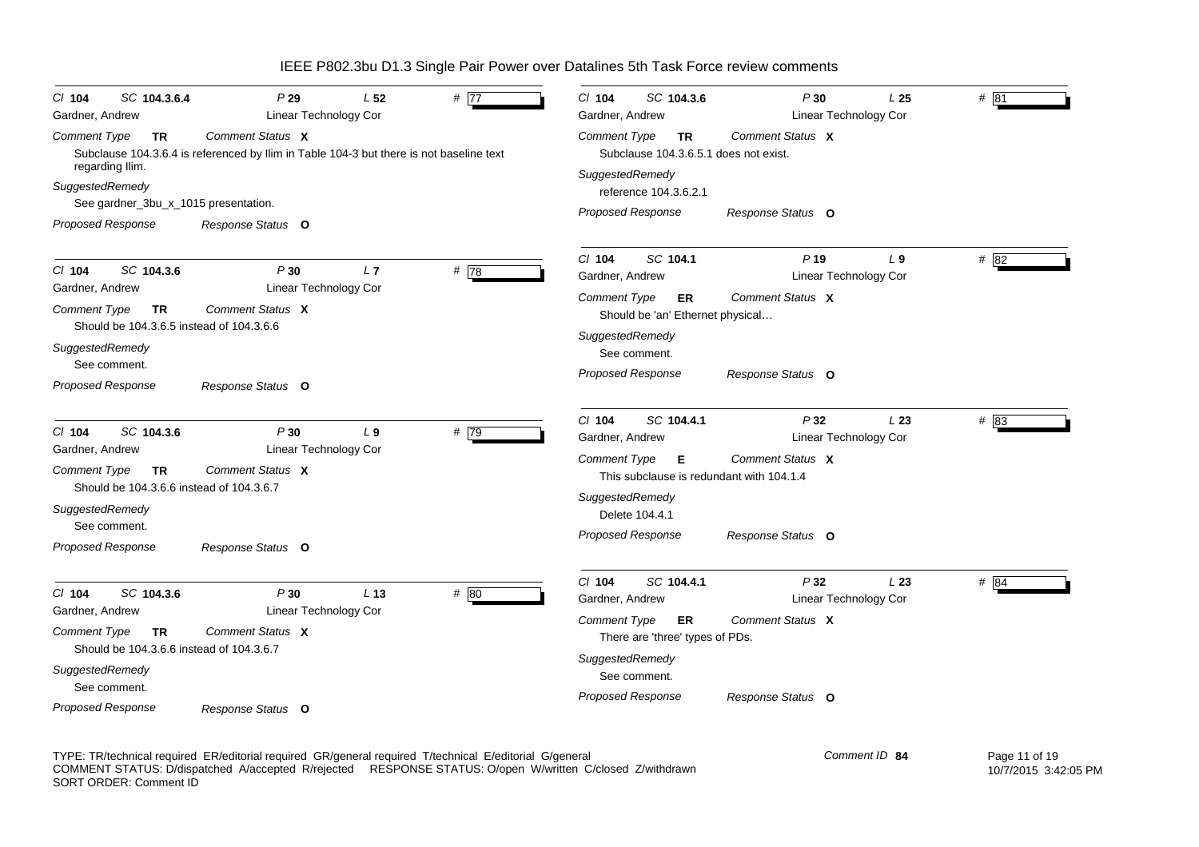| SC 104.3.6.4<br>$CI$ 104<br>Gardner, Andrew                                                                                                                                       | P29<br>Linear Technology Cor                                                                                | L <sub>52</sub> | # $\overline{77}$ | SC 104.3.6<br>$Cl$ 104<br>Gardner, Andrew                                                                                                                                | P30<br>Linear Technology Cor                                          | L <sub>25</sub> | # 81 |
|-----------------------------------------------------------------------------------------------------------------------------------------------------------------------------------|-------------------------------------------------------------------------------------------------------------|-----------------|-------------------|--------------------------------------------------------------------------------------------------------------------------------------------------------------------------|-----------------------------------------------------------------------|-----------------|------|
| <b>Comment Type</b><br><b>TR</b><br>regarding Ilim.<br>SuggestedRemedy                                                                                                            | Comment Status X<br>Subclause 104.3.6.4 is referenced by Ilim in Table 104-3 but there is not baseline text |                 |                   | <b>Comment Type</b><br><b>TR</b><br>Subclause 104.3.6.5.1 does not exist.<br>SuggestedRemedy<br>reference 104.3.6.2.1                                                    | Comment Status X                                                      |                 |      |
| See gardner_3bu_x_1015 presentation.<br>Proposed Response                                                                                                                         | Response Status O                                                                                           |                 |                   | <b>Proposed Response</b>                                                                                                                                                 | Response Status O                                                     |                 |      |
| SC 104.3.6<br>$Cl$ 104<br>Gardner, Andrew<br><b>Comment Type</b><br><b>TR</b><br>Should be 104.3.6.5 instead of 104.3.6.6                                                         | P30<br>Linear Technology Cor<br>Comment Status X                                                            | L7              | #78               | SC 104.1<br>$Cl$ 104<br>Gardner, Andrew<br><b>Comment Type</b><br>ER<br>Should be 'an' Ethernet physical                                                                 | $P$ 19<br>Linear Technology Cor<br>Comment Status X                   | $L_{9}$         | # 82 |
| SuggestedRemedy<br>See comment.<br><b>Proposed Response</b>                                                                                                                       | Response Status O                                                                                           |                 |                   | SuggestedRemedy<br>See comment.<br>Proposed Response                                                                                                                     | Response Status O                                                     |                 |      |
| $CI$ 104<br>SC 104.3.6<br>Gardner, Andrew<br><b>Comment Type</b><br><b>TR</b><br>Should be 104.3.6.6 instead of 104.3.6.7<br>SuggestedRemedy<br>See comment.<br>Proposed Response | P30<br>Linear Technology Cor<br>Comment Status X<br>Response Status O                                       | L <sub>9</sub>  | # 79              | SC 104.4.1<br>CI 104<br>Gardner, Andrew<br>Comment Type<br>Е<br>This subclause is redundant with 104.1.4<br>SuggestedRemedy<br>Delete 104.4.1<br>Proposed Response       | P32<br>Linear Technology Cor<br>Comment Status X<br>Response Status O | L23             | # 83 |
| SC 104.3.6<br>$Cl$ 104<br>Gardner, Andrew<br><b>Comment Type</b><br>TR<br>Should be 104.3.6.6 instead of 104.3.6.7<br>SuggestedRemedy<br>See comment.<br><b>Proposed Response</b> | P30<br>Linear Technology Cor<br>Comment Status X<br>Response Status O                                       | L <sub>13</sub> | # 80              | $Cl$ 104<br>SC 104.4.1<br>Gardner, Andrew<br><b>Comment Type</b><br>ER<br>There are 'three' types of PDs.<br>SuggestedRemedy<br>See comment.<br><b>Proposed Response</b> | P32<br>Linear Technology Cor<br>Comment Status X<br>Response Status O | L23             | # 84 |

TYPE: TR/technical required ER/editorial required GR/general required T/technical E/editorial G/general COMMENT STATUS: D/dispatched A/accepted R/rejected RESPONSE STATUS: O/open W/written C/closed Z/withdrawn SORT ORDER: Comment ID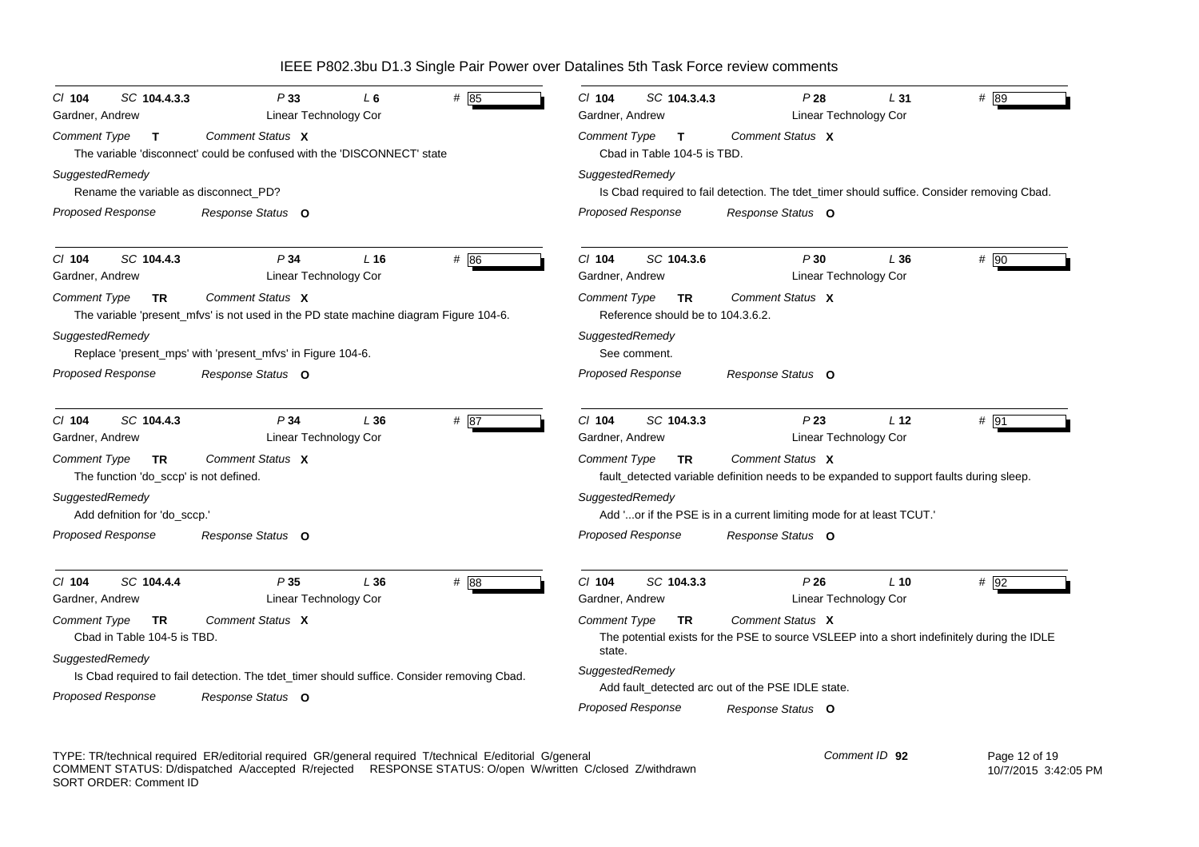| P33                                                                                                           | P28                                                                                                                                                     |
|---------------------------------------------------------------------------------------------------------------|---------------------------------------------------------------------------------------------------------------------------------------------------------|
| SC 104.4.3.3                                                                                                  | $Cl$ 104                                                                                                                                                |
| $#$ 85                                                                                                        | SC 104.3.4.3                                                                                                                                            |
| $Cl$ 104                                                                                                      | # 89                                                                                                                                                    |
| $L_6$                                                                                                         | L31                                                                                                                                                     |
| Linear Technology Cor                                                                                         | Gardner, Andrew                                                                                                                                         |
| Gardner, Andrew                                                                                               | <b>Linear Technology Cor</b>                                                                                                                            |
| Comment Status X                                                                                              | Comment Type                                                                                                                                            |
| Comment Type                                                                                                  | Comment Status X                                                                                                                                        |
| T                                                                                                             | $\mathbf{T}$                                                                                                                                            |
| The variable 'disconnect' could be confused with the 'DISCONNECT' state                                       | Cbad in Table 104-5 is TBD.                                                                                                                             |
| SuggestedRemedy                                                                                               | SuggestedRemedy                                                                                                                                         |
| Rename the variable as disconnect PD?                                                                         | Is Cbad required to fail detection. The tdet_timer should suffice. Consider removing Cbad.                                                              |
| <b>Proposed Response</b>                                                                                      | <b>Proposed Response</b>                                                                                                                                |
| Response Status O                                                                                             | Response Status O                                                                                                                                       |
| SC 104.4.3                                                                                                    | SC 104.3.6                                                                                                                                              |
| #86                                                                                                           | # 90                                                                                                                                                    |
| P34                                                                                                           | $Cl$ 104                                                                                                                                                |
| L <sub>16</sub>                                                                                               | P30                                                                                                                                                     |
| $CI$ 104                                                                                                      | L36                                                                                                                                                     |
| Linear Technology Cor                                                                                         | Linear Technology Cor                                                                                                                                   |
| Gardner, Andrew                                                                                               | Gardner, Andrew                                                                                                                                         |
| Comment Status X                                                                                              | Comment Status X                                                                                                                                        |
| <b>Comment Type</b>                                                                                           | <b>Comment Type</b>                                                                                                                                     |
| TR                                                                                                            | TR.                                                                                                                                                     |
| The variable 'present_mfvs' is not used in the PD state machine diagram Figure 104-6.                         | Reference should be to 104.3.6.2.                                                                                                                       |
| SuggestedRemedy                                                                                               | SuggestedRemedy                                                                                                                                         |
| Replace 'present_mps' with 'present_mfvs' in Figure 104-6.                                                    | See comment.                                                                                                                                            |
| <b>Proposed Response</b>                                                                                      | <b>Proposed Response</b>                                                                                                                                |
| Response Status O                                                                                             | Response Status O                                                                                                                                       |
| SC 104.4.3                                                                                                    | C/ 104                                                                                                                                                  |
| P34                                                                                                           | SC 104.3.3                                                                                                                                              |
| C/ 104                                                                                                        | P23                                                                                                                                                     |
| L36                                                                                                           | # 91                                                                                                                                                    |
| # 87                                                                                                          | L <sub>12</sub>                                                                                                                                         |
| Linear Technology Cor                                                                                         | Gardner, Andrew                                                                                                                                         |
| Gardner, Andrew                                                                                               | Linear Technology Cor                                                                                                                                   |
| Comment Status X                                                                                              | Comment Status X                                                                                                                                        |
| <b>Comment Type</b>                                                                                           | Comment Type                                                                                                                                            |
| TR.                                                                                                           | TR.                                                                                                                                                     |
| The function 'do_sccp' is not defined.                                                                        | fault_detected variable definition needs to be expanded to support faults during sleep.                                                                 |
| SuggestedRemedy                                                                                               | SuggestedRemedy                                                                                                                                         |
| Add defnition for 'do_sccp.'                                                                                  | Add 'or if the PSE is in a current limiting mode for at least TCUT.'                                                                                    |
| Proposed Response                                                                                             | Proposed Response                                                                                                                                       |
| Response Status O                                                                                             | Response Status O                                                                                                                                       |
| SC 104.4.4                                                                                                    | $Cl$ 104                                                                                                                                                |
| # 88                                                                                                          | SC 104.3.3                                                                                                                                              |
| $CI$ 104                                                                                                      | P26                                                                                                                                                     |
| P35                                                                                                           | $L$ 10                                                                                                                                                  |
| L36                                                                                                           | # 92                                                                                                                                                    |
| <b>Linear Technology Cor</b>                                                                                  | Gardner, Andrew                                                                                                                                         |
| Gardner, Andrew                                                                                               | Linear Technology Cor                                                                                                                                   |
| Comment Status X<br><b>Comment Type</b><br>TR<br>Cbad in Table 104-5 is TBD.                                  | Comment Status X<br><b>Comment Type</b><br>TR.<br>The potential exists for the PSE to source VSLEEP into a short indefinitely during the IDLE<br>state. |
| SuggestedRemedy<br>Is Cbad required to fail detection. The tdet_timer should suffice. Consider removing Cbad. | SuggestedRemedy                                                                                                                                         |
| <b>Proposed Response</b><br>Response Status O                                                                 | Add fault_detected arc out of the PSE IDLE state.<br><b>Proposed Response</b><br>Response Status O                                                      |

TYPE: TR/technical required ER/editorial required GR/general required T/technical E/editorial G/general COMMENT STATUS: D/dispatched A/accepted R/rejected RESPONSE STATUS: O/open W/written C/closed Z/withdrawn SORT ORDER: Comment ID  Page 12 of 19 10/7/2015 3:42:05 PM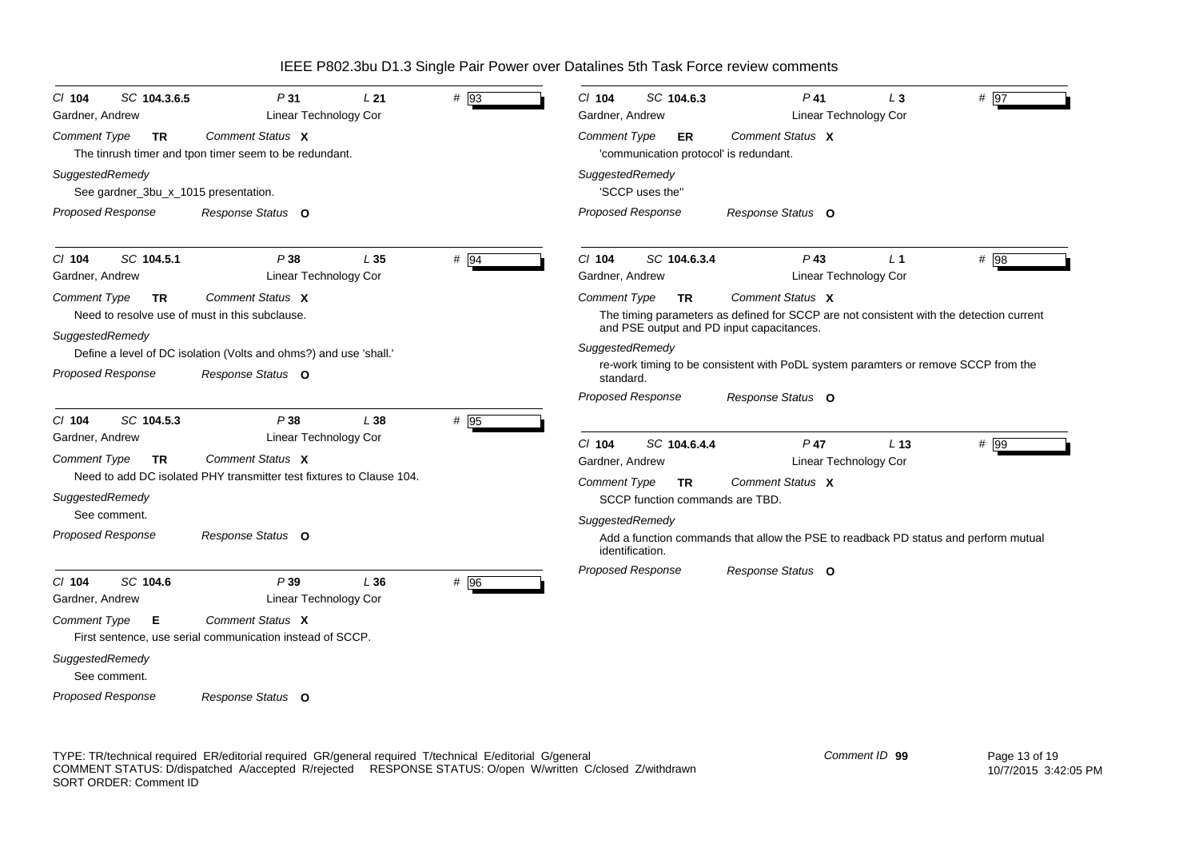| SC 104.3.6.5<br>$CI$ 104<br>Gardner, Andrew                                                           | P31<br>L <sub>21</sub><br><b>Linear Technology Cor</b>                                 | # 93 | CI 104<br>SC 104.6.3<br>Gardner, Andrew                       | $P$ 41                                                                                                                                                   | L <sub>3</sub><br>Linear Technology Cor | # $\overline{97}$ |
|-------------------------------------------------------------------------------------------------------|----------------------------------------------------------------------------------------|------|---------------------------------------------------------------|----------------------------------------------------------------------------------------------------------------------------------------------------------|-----------------------------------------|-------------------|
| Comment Type<br>TR                                                                                    | Comment Status X<br>The tinrush timer and tpon timer seem to be redundant.             |      | Comment Type<br>ER.<br>'communication protocol' is redundant. | Comment Status X                                                                                                                                         |                                         |                   |
| SuggestedRemedy<br>See gardner_3bu_x_1015 presentation.                                               |                                                                                        |      | SuggestedRemedy<br>'SCCP uses the"                            |                                                                                                                                                          |                                         |                   |
| Proposed Response                                                                                     | Response Status O                                                                      |      | <b>Proposed Response</b>                                      | Response Status O                                                                                                                                        |                                         |                   |
| SC 104.5.1<br>$CI$ 104<br>Gardner, Andrew                                                             | P38<br>L35<br><b>Linear Technology Cor</b>                                             | # 94 | CI 104<br>SC 104.6.3.4<br>Gardner, Andrew                     | $P$ 43                                                                                                                                                   | L <sub>1</sub><br>Linear Technology Cor | # 98              |
| <b>Comment Type</b><br><b>TR</b><br>Need to resolve use of must in this subclause.<br>SuggestedRemedy | Comment Status X                                                                       |      | <b>Comment Type</b><br><b>TR</b>                              | Comment Status X<br>The timing parameters as defined for SCCP are not consistent with the detection current<br>and PSE output and PD input capacitances. |                                         |                   |
| <b>Proposed Response</b>                                                                              | Define a level of DC isolation (Volts and ohms?) and use 'shall.'<br>Response Status O |      | SuggestedRemedy<br>standard.                                  | re-work timing to be consistent with PoDL system paramters or remove SCCP from the                                                                       |                                         |                   |
| SC 104.5.3                                                                                            |                                                                                        |      | <b>Proposed Response</b>                                      | Response Status O                                                                                                                                        |                                         |                   |
| $CI$ 104<br>Gardner, Andrew                                                                           | P38<br>L38<br>Linear Technology Cor                                                    | # 95 | SC 104.6.4.4<br>CI 104                                        | $P$ 47                                                                                                                                                   | L <sub>13</sub>                         | # 99              |
| <b>Comment Type</b><br><b>TR</b>                                                                      | Comment Status X                                                                       |      | Gardner, Andrew                                               |                                                                                                                                                          | Linear Technology Cor                   |                   |
| SuggestedRemedy                                                                                       | Need to add DC isolated PHY transmitter test fixtures to Clause 104.                   |      | Comment Type<br>TR<br>SCCP function commands are TBD.         | Comment Status X                                                                                                                                         |                                         |                   |
| See comment.<br>Proposed Response                                                                     | Response Status O                                                                      |      | SuggestedRemedy                                               |                                                                                                                                                          |                                         |                   |
|                                                                                                       |                                                                                        |      | identification.                                               | Add a function commands that allow the PSE to readback PD status and perform mutual                                                                      |                                         |                   |
| SC 104.6<br>$Cl$ 104<br>Gardner, Andrew                                                               | P39<br>L36<br>Linear Technology Cor                                                    | # 96 | <b>Proposed Response</b>                                      | Response Status O                                                                                                                                        |                                         |                   |
| <b>Comment Type</b><br>Е                                                                              | Comment Status X<br>First sentence, use serial communication instead of SCCP.          |      |                                                               |                                                                                                                                                          |                                         |                   |
| SuggestedRemedy<br>See comment.                                                                       |                                                                                        |      |                                                               |                                                                                                                                                          |                                         |                   |
| <b>Proposed Response</b>                                                                              | Response Status O                                                                      |      |                                                               |                                                                                                                                                          |                                         |                   |

TYPE: TR/technical required ER/editorial required GR/general required T/technical E/editorial G/general COMMENT STATUS: D/dispatched A/accepted R/rejected RESPONSE STATUS: O/open W/written C/closed Z/withdrawn SORT ORDER: Comment ID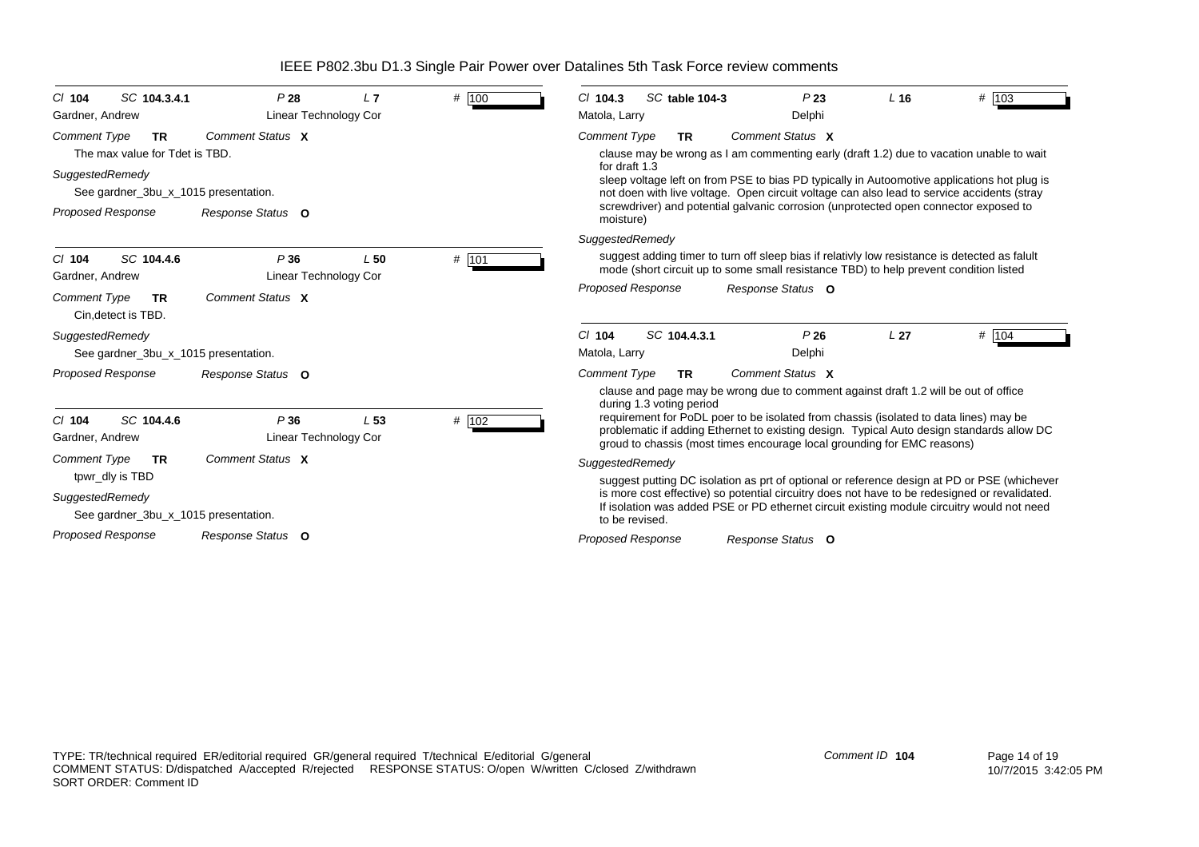| SC 104.3.4.1<br>$CI$ 104                                           | P28                          | L7              | # 100 | $Cl$ 104.3<br>SC table 104-3<br>P23<br>L <sub>16</sub>                                                                                                                                                                                                        | # 103   |
|--------------------------------------------------------------------|------------------------------|-----------------|-------|---------------------------------------------------------------------------------------------------------------------------------------------------------------------------------------------------------------------------------------------------------------|---------|
| Gardner, Andrew                                                    | Linear Technology Cor        |                 |       | Matola, Larry<br>Delphi                                                                                                                                                                                                                                       |         |
| <b>Comment Type</b><br><b>TR</b><br>The max value for Tdet is TBD. | Comment Status X             |                 |       | <b>Comment Type</b><br>Comment Status X<br><b>TR</b><br>clause may be wrong as I am commenting early (draft 1.2) due to vacation unable to wait                                                                                                               |         |
| SuggestedRemedy<br>See gardner_3bu_x_1015 presentation.            |                              |                 |       | for draft 1.3<br>sleep voltage left on from PSE to bias PD typically in Autoomotive applications hot plug is<br>not doen with live voltage. Open circuit voltage can also lead to service accidents (stray                                                    |         |
| <b>Proposed Response</b>                                           | Response Status O            |                 |       | screwdriver) and potential galvanic corrosion (unprotected open connector exposed to<br>moisture)                                                                                                                                                             |         |
|                                                                    |                              |                 |       | SuggestedRemedy                                                                                                                                                                                                                                               |         |
| SC 104.4.6<br>$CI$ 104<br>Gardner, Andrew                          | P36<br>Linear Technology Cor | L50             | # 101 | suggest adding timer to turn off sleep bias if relativly low resistance is detected as falult<br>mode (short circuit up to some small resistance TBD) to help prevent condition listed                                                                        |         |
| <b>Comment Type</b><br><b>TR</b><br>Cin.detect is TBD.             | Comment Status X             |                 |       | <b>Proposed Response</b><br>Response Status O                                                                                                                                                                                                                 |         |
| SuggestedRemedy                                                    |                              |                 |       | SC 104.4.3.1<br>P26<br>L <sub>27</sub><br>$Cl$ 104                                                                                                                                                                                                            | # $104$ |
| See gardner_3bu_x_1015 presentation.                               |                              |                 |       | Matola, Larry<br>Delphi                                                                                                                                                                                                                                       |         |
| <b>Proposed Response</b>                                           | Response Status O            |                 |       | Comment Status X<br><b>Comment Type</b><br>TR.                                                                                                                                                                                                                |         |
|                                                                    |                              |                 |       | clause and page may be wrong due to comment against draft 1.2 will be out of office<br>during 1.3 voting period                                                                                                                                               |         |
| SC 104.4.6<br>$Cl$ 104<br>Gardner, Andrew                          | P36<br>Linear Technology Cor | L <sub>53</sub> | # 102 | requirement for PoDL poer to be isolated from chassis (isolated to data lines) may be<br>problematic if adding Ethernet to existing design. Typical Auto design standards allow DC<br>groud to chassis (most times encourage local grounding for EMC reasons) |         |
| Comment Type<br><b>TR</b>                                          | Comment Status X             |                 |       | SuggestedRemedy                                                                                                                                                                                                                                               |         |
| tpwr_dly is TBD                                                    |                              |                 |       | suggest putting DC isolation as prt of optional or reference design at PD or PSE (whichever                                                                                                                                                                   |         |
| SuggestedRemedy<br>See gardner_3bu_x_1015 presentation.            |                              |                 |       | is more cost effective) so potential circuitry does not have to be redesigned or revalidated.<br>If isolation was added PSE or PD ethernet circuit existing module circuitry would not need<br>to be revised.                                                 |         |
| <b>Proposed Response</b>                                           | Response Status O            |                 |       | <b>Proposed Response</b><br>Response Status O                                                                                                                                                                                                                 |         |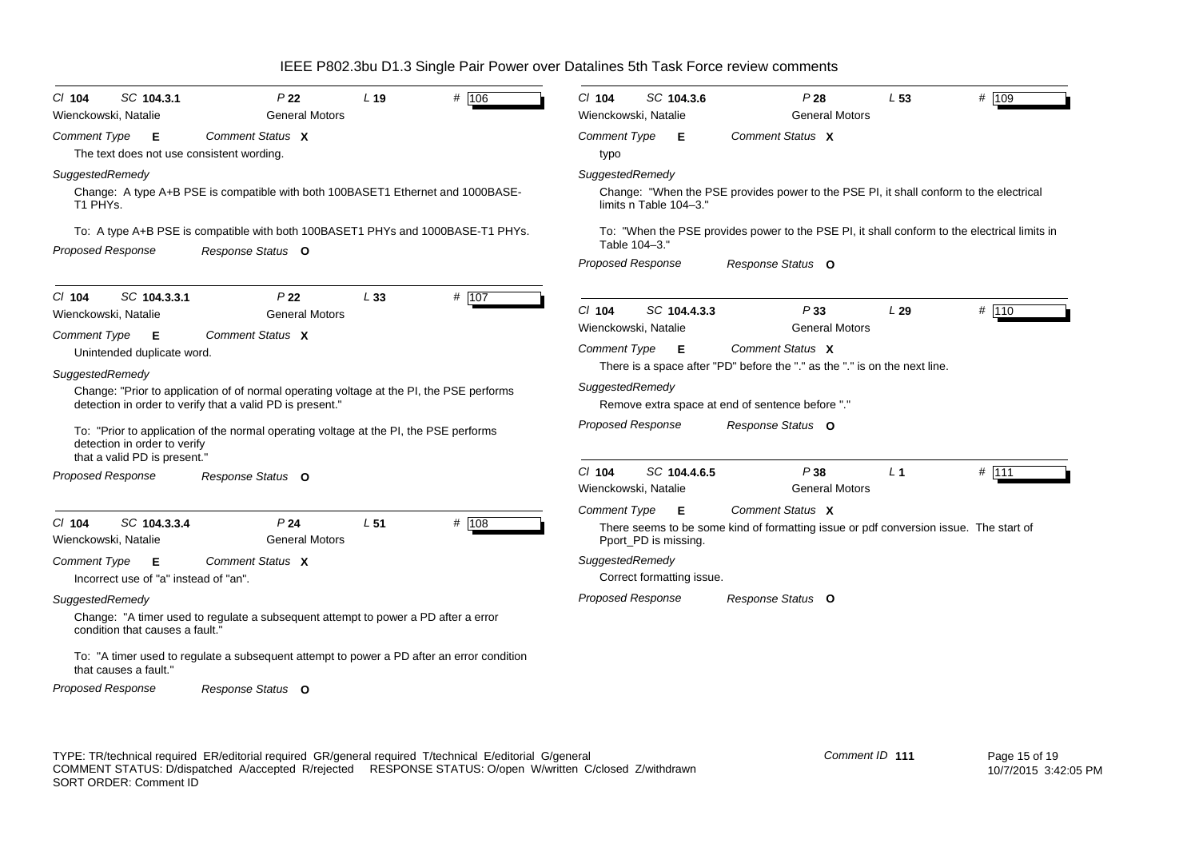| # 106<br>SC 104.3.1<br>P <sub>22</sub><br>L <sub>19</sub><br>$CI$ 104<br>Wienckowski, Natalie<br><b>General Motors</b>                                                                                                                                                                                                                                                                                                                                                                                                        | $Cl$ 104<br>SC 104.3.6<br>P28<br>L <sub>53</sub><br># 109<br>Wienckowski, Natalie<br><b>General Motors</b>                                                                                                                                                                                                                                          |
|-------------------------------------------------------------------------------------------------------------------------------------------------------------------------------------------------------------------------------------------------------------------------------------------------------------------------------------------------------------------------------------------------------------------------------------------------------------------------------------------------------------------------------|-----------------------------------------------------------------------------------------------------------------------------------------------------------------------------------------------------------------------------------------------------------------------------------------------------------------------------------------------------|
| Comment Status X<br><b>Comment Type</b><br>Е<br>The text does not use consistent wording.                                                                                                                                                                                                                                                                                                                                                                                                                                     | Comment Status X<br>Comment Type<br>Е<br>typo                                                                                                                                                                                                                                                                                                       |
| SuggestedRemedy<br>Change: A type A+B PSE is compatible with both 100BASET1 Ethernet and 1000BASE-<br>T1 PHYs.<br>To: A type A+B PSE is compatible with both 100BASET1 PHYs and 1000BASE-T1 PHYs.<br><b>Proposed Response</b><br>Response Status O                                                                                                                                                                                                                                                                            | SuggestedRemedy<br>Change: "When the PSE provides power to the PSE PI, it shall conform to the electrical<br>limits n Table 104-3."<br>To: "When the PSE provides power to the PSE PI, it shall conform to the electrical limits in<br>Table 104-3.'<br><b>Proposed Response</b><br>Response Status O                                               |
| $Cl$ 104<br>SC 104.3.3.1<br>P <sub>22</sub><br>L33<br># 107<br><b>General Motors</b><br>Wienckowski, Natalie<br>Comment Type<br>Comment Status X<br>- E<br>Unintended duplicate word.<br>SuggestedRemedy<br>Change: "Prior to application of of normal operating voltage at the PI, the PSE performs<br>detection in order to verify that a valid PD is present."<br>To: "Prior to application of the normal operating voltage at the PI, the PSE performs                                                                    | # 110<br>$Cl$ 104<br>SC 104.4.3.3<br>P33<br>L29<br><b>General Motors</b><br>Wienckowski, Natalie<br>Comment Status X<br>Comment Type <b>E</b><br>There is a space after "PD" before the "." as the "." is on the next line.<br>SuggestedRemedy<br>Remove extra space at end of sentence before "."<br><b>Proposed Response</b><br>Response Status O |
| detection in order to verify<br>that a valid PD is present."<br><b>Proposed Response</b><br>Response Status O                                                                                                                                                                                                                                                                                                                                                                                                                 | SC 104.4.6.5<br>P38<br>$#$ 111<br>$Cl$ 104<br>L <sub>1</sub><br><b>General Motors</b><br>Wienckowski, Natalie                                                                                                                                                                                                                                       |
| SC 104.3.3.4<br>P <sub>24</sub><br>$CI$ 104<br>L <sub>51</sub><br># 108<br><b>General Motors</b><br>Wienckowski, Natalie<br>Comment Type<br>Comment Status X<br>Е<br>Incorrect use of "a" instead of "an".<br>SuggestedRemedy<br>Change: "A timer used to regulate a subsequent attempt to power a PD after a error<br>condition that causes a fault."<br>To: "A timer used to regulate a subsequent attempt to power a PD after an error condition<br>that causes a fault."<br><b>Proposed Response</b><br>Response Status O | <b>Comment Type</b><br>Comment Status X<br>Е<br>There seems to be some kind of formatting issue or pdf conversion issue. The start of<br>Pport_PD is missing.<br>SuggestedRemedy<br>Correct formatting issue.<br><b>Proposed Response</b><br>Response Status O                                                                                      |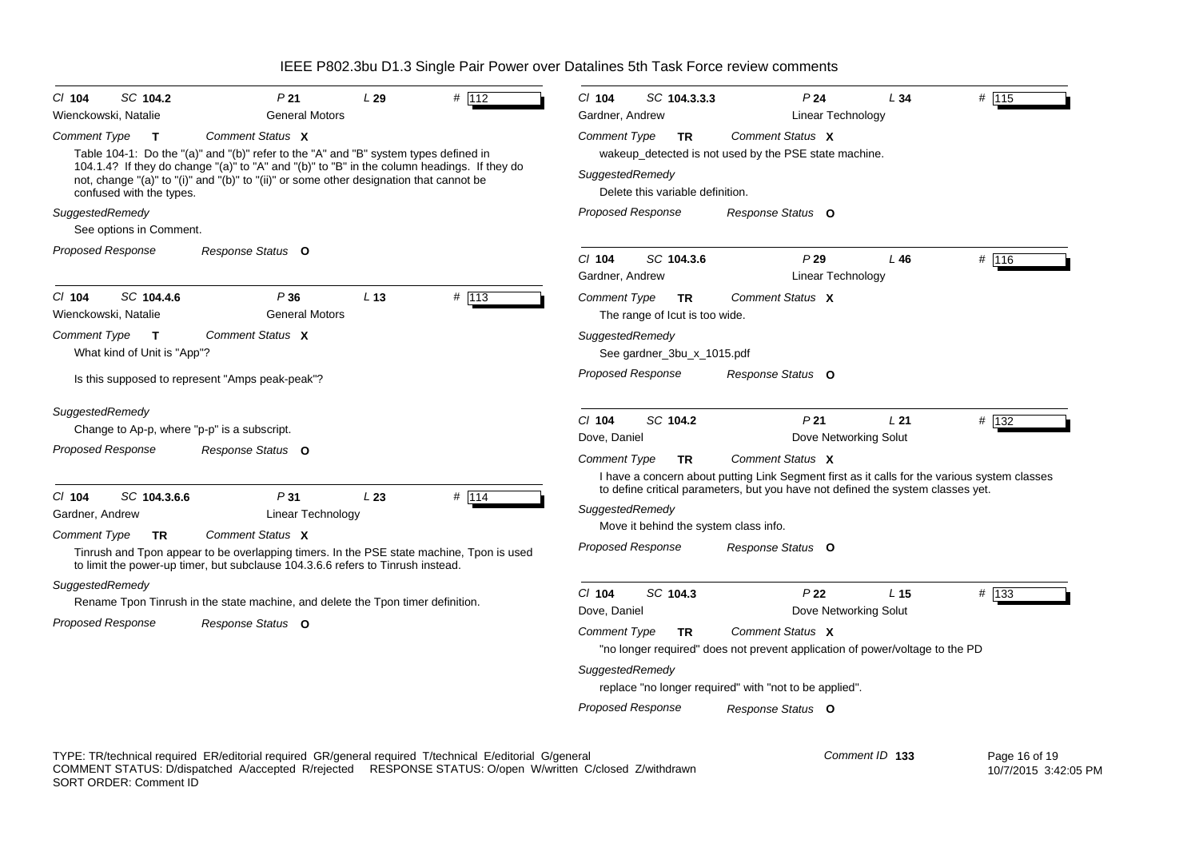| SC 104.2<br>$CI$ 104<br>Wienckowski, Natalie                                                                         | P <sub>21</sub><br><b>General Motors</b>                                                                                                                                                                                                                                                           | L29             | # 112 | CI 104<br>SC 104.3.3.3<br>Gardner, Andrew                                                                                                 | P <sub>24</sub><br>Linear Technology                                                                                                                                                                     | L34             | # 115 |
|----------------------------------------------------------------------------------------------------------------------|----------------------------------------------------------------------------------------------------------------------------------------------------------------------------------------------------------------------------------------------------------------------------------------------------|-----------------|-------|-------------------------------------------------------------------------------------------------------------------------------------------|----------------------------------------------------------------------------------------------------------------------------------------------------------------------------------------------------------|-----------------|-------|
| Comment Type<br>T<br>confused with the types.<br>SuggestedRemedy<br>See options in Comment.                          | Comment Status X<br>Table 104-1: Do the "(a)" and "(b)" refer to the "A" and "B" system types defined in<br>104.1.4? If they do change "(a)" to "A" and "(b)" to "B" in the column headings. If they do<br>not, change "(a)" to "(i)" and "(b)" to "(ii)" or some other designation that cannot be |                 |       | Comment Type<br>TR<br>SuggestedRemedy<br>Delete this variable definition.<br><b>Proposed Response</b>                                     | Comment Status X<br>wakeup_detected is not used by the PSE state machine.<br>Response Status O                                                                                                           |                 |       |
| <b>Proposed Response</b>                                                                                             | Response Status O                                                                                                                                                                                                                                                                                  |                 |       | $Cl$ 104<br>SC 104.3.6<br>Gardner, Andrew                                                                                                 | P29<br>Linear Technology                                                                                                                                                                                 | L46             | # 116 |
| SC 104.4.6<br>$CI$ 104<br>Wienckowski, Natalie<br><b>Comment Type</b><br>$\mathbf{T}$<br>What kind of Unit is "App"? | P36<br><b>General Motors</b><br>Comment Status X<br>Is this supposed to represent "Amps peak-peak"?                                                                                                                                                                                                | L <sub>13</sub> | # 113 | <b>Comment Type</b><br>TR.<br>The range of lcut is too wide.<br>SuggestedRemedy<br>See gardner_3bu_x_1015.pdf<br><b>Proposed Response</b> | Comment Status X<br>Response Status O                                                                                                                                                                    |                 |       |
| SuggestedRemedy<br><b>Proposed Response</b>                                                                          | Change to Ap-p, where "p-p" is a subscript.<br>Response Status O                                                                                                                                                                                                                                   |                 |       | $Cl$ 104<br>SC 104.2<br>Dove, Daniel<br><b>Comment Type</b><br><b>TR</b>                                                                  | P <sub>21</sub><br>Dove Networking Solut<br>Comment Status X<br>I have a concern about putting Link Segment first as it calls for the various system classes                                             | L21             | # 132 |
| SC 104.3.6.6<br>$CI$ 104<br>Gardner, Andrew<br><b>Comment Type</b><br>TR.<br>SuggestedRemedy                         | P31<br><b>Linear Technology</b><br>Comment Status X<br>Tinrush and Tpon appear to be overlapping timers. In the PSE state machine, Tpon is used<br>to limit the power-up timer, but subclause 104.3.6.6 refers to Tinrush instead.                                                                 | L23             | # 114 | SuggestedRemedy<br>Move it behind the system class info.<br><b>Proposed Response</b><br>$CI$ 104<br>SC 104.3                              | to define critical parameters, but you have not defined the system classes yet.<br>Response Status O<br>P <sub>22</sub>                                                                                  | L <sub>15</sub> | # 133 |
| <b>Proposed Response</b>                                                                                             | Rename Tpon Tinrush in the state machine, and delete the Tpon timer definition.<br>Response Status O                                                                                                                                                                                               |                 |       | Dove, Daniel<br><b>Comment Type</b><br><b>TR</b><br>SuggestedRemedy<br>Proposed Response                                                  | Dove Networking Solut<br>Comment Status X<br>"no longer required" does not prevent application of power/voltage to the PD<br>replace "no longer required" with "not to be applied".<br>Response Status O |                 |       |

TYPE: TR/technical required ER/editorial required GR/general required T/technical E/editorial G/general COMMENT STATUS: D/dispatched A/accepted R/rejected RESPONSE STATUS: O/open W/written C/closed Z/withdrawn SORT ORDER: Comment ID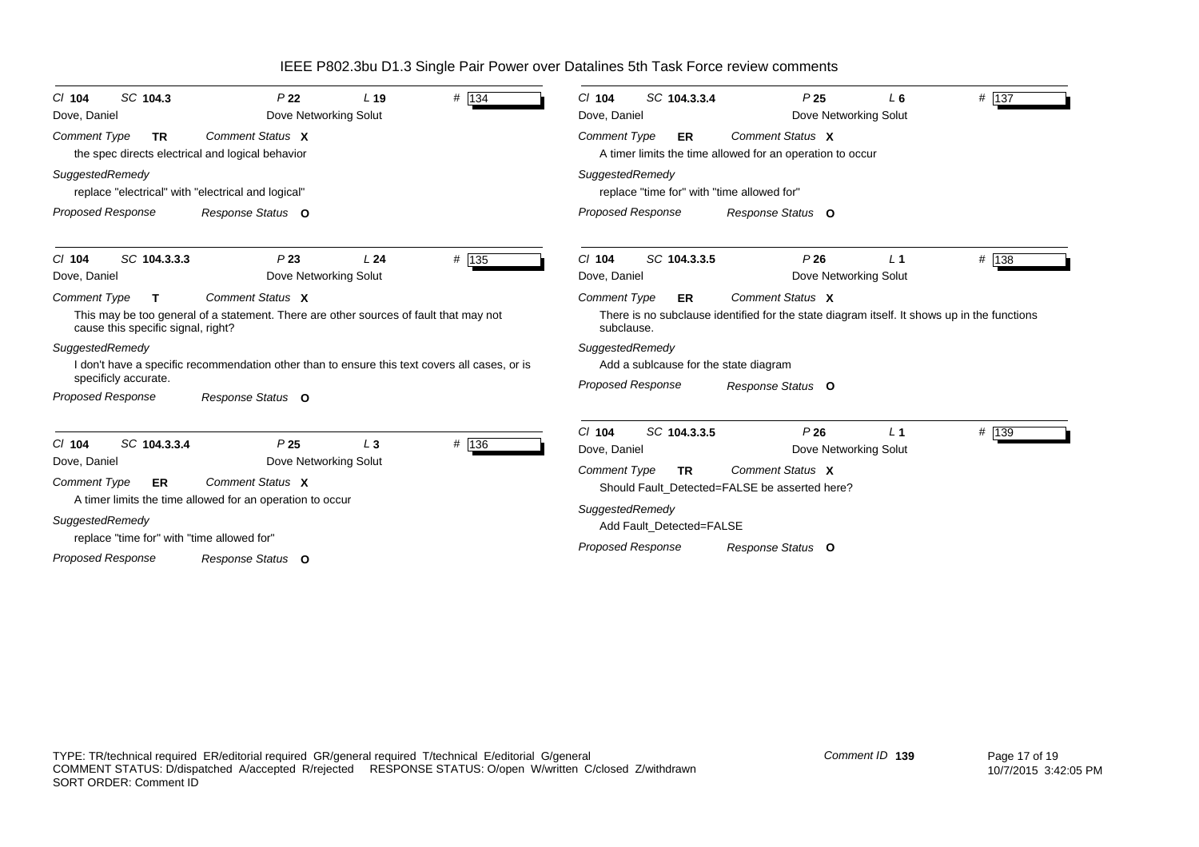| SC 104.3<br>$CI$ 104<br>Dove, Daniel                                                 | P <sub>22</sub><br>Dove Networking Solut                                                                  | L <sub>19</sub> | # 134 | SC 104.3.3.4<br>$CI$ 104<br>Dove, Daniel                                     | P <sub>25</sub>                                                                                                 | $L_6$<br>Dove Networking Solut          | $#$ 137 |
|--------------------------------------------------------------------------------------|-----------------------------------------------------------------------------------------------------------|-----------------|-------|------------------------------------------------------------------------------|-----------------------------------------------------------------------------------------------------------------|-----------------------------------------|---------|
| <b>Comment Type</b><br><b>TR</b><br>the spec directs electrical and logical behavior | Comment Status X                                                                                          |                 |       | <b>Comment Type</b><br>ER                                                    | Comment Status X<br>A timer limits the time allowed for an operation to occur                                   |                                         |         |
| SuggestedRemedy<br>replace "electrical" with "electrical and logical"                |                                                                                                           |                 |       | SuggestedRemedy<br>replace "time for" with "time allowed for"                |                                                                                                                 |                                         |         |
| <b>Proposed Response</b>                                                             | Response Status O                                                                                         |                 |       | Proposed Response                                                            | Response Status O                                                                                               |                                         |         |
| SC 104.3.3.3<br>$CI$ 104<br>Dove, Daniel                                             | P23<br>Dove Networking Solut                                                                              | L <sub>24</sub> | # 135 | SC 104.3.3.5<br>$CI$ 104<br>Dove, Daniel                                     | P26                                                                                                             | L <sub>1</sub><br>Dove Networking Solut | # 138   |
| <b>Comment Type</b><br>$\mathbf{T}$<br>cause this specific signal, right?            | Comment Status X<br>This may be too general of a statement. There are other sources of fault that may not |                 |       | <b>Comment Type</b><br>ER<br>subclause.                                      | Comment Status X<br>There is no subclause identified for the state diagram itself. It shows up in the functions |                                         |         |
| SuggestedRemedy<br>specificly accurate.                                              | I don't have a specific recommendation other than to ensure this text covers all cases, or is             |                 |       | SuggestedRemedy<br>Add a sublcause for the state diagram                     |                                                                                                                 |                                         |         |
| <b>Proposed Response</b>                                                             | Response Status O                                                                                         |                 |       | <b>Proposed Response</b>                                                     | Response Status O                                                                                               |                                         |         |
| SC 104.3.3.4<br>$Cl$ 104<br>Dove, Daniel                                             | P <sub>25</sub><br>Dove Networking Solut                                                                  | $L_3$           | # 136 | SC 104.3.3.5<br>$Cl$ 104<br>Dove, Daniel<br><b>Comment Type</b><br><b>TR</b> | P26<br>Comment Status X                                                                                         | L <sub>1</sub><br>Dove Networking Solut | # 139   |
| <b>Comment Type</b><br><b>ER</b>                                                     | Comment Status X<br>A timer limits the time allowed for an operation to occur                             |                 |       |                                                                              | Should Fault Detected=FALSE be asserted here?                                                                   |                                         |         |
| SuggestedRemedy                                                                      |                                                                                                           |                 |       | SuggestedRemedy<br>Add Fault Detected=FALSE                                  |                                                                                                                 |                                         |         |
| replace "time for" with "time allowed for"<br><b>Proposed Response</b>               | Response Status O                                                                                         |                 |       | <b>Proposed Response</b>                                                     | Response Status O                                                                                               |                                         |         |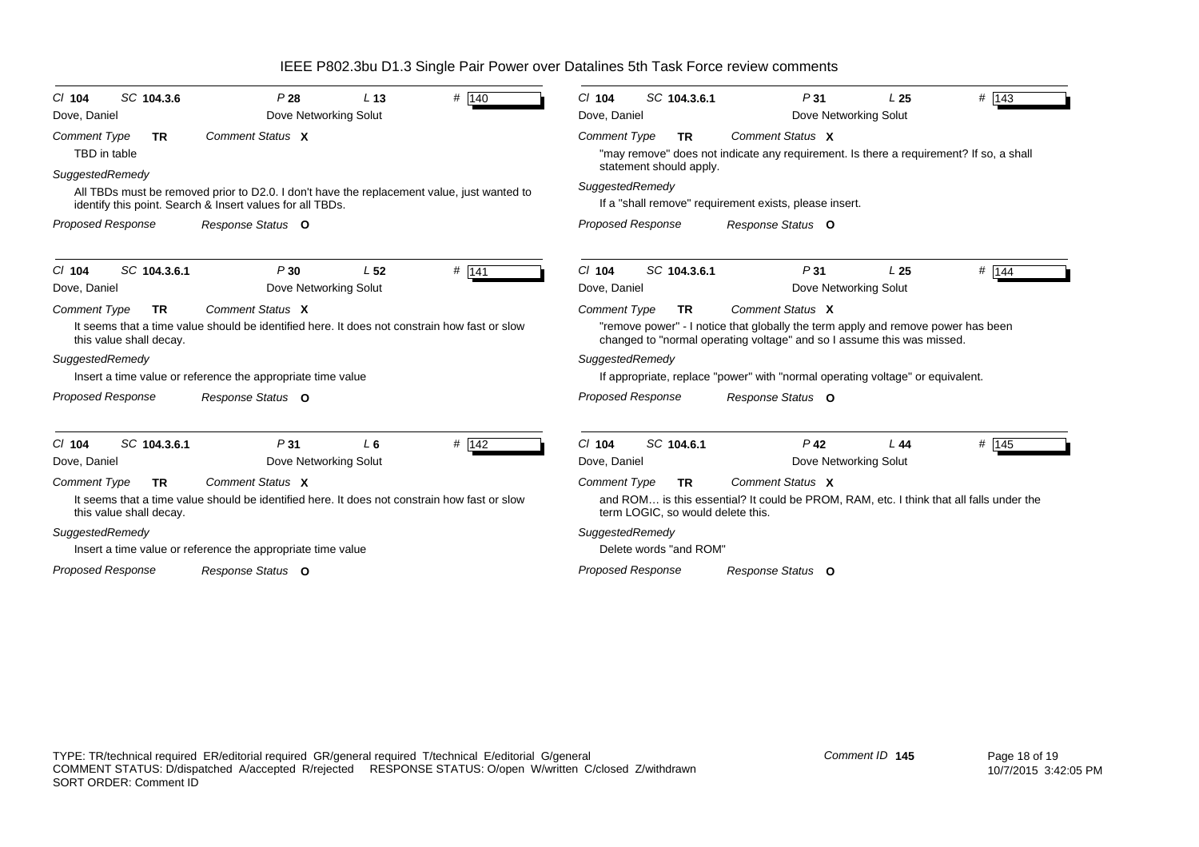| SC 104.3.6<br>$Cl$ 104<br>Dove, Daniel                      | P28<br>Dove Networking Solut                                                                                                                            | L <sub>13</sub> | # 140   | SC 104.3.6.1<br>$Cl$ 104<br>Dove, Daniel                              | P31                                                                                                                                                                            | L <sub>25</sub><br>Dove Networking Solut | # $143$ |
|-------------------------------------------------------------|---------------------------------------------------------------------------------------------------------------------------------------------------------|-----------------|---------|-----------------------------------------------------------------------|--------------------------------------------------------------------------------------------------------------------------------------------------------------------------------|------------------------------------------|---------|
| <b>Comment Type</b><br><b>TR</b><br>TBD in table            | Comment Status X                                                                                                                                        |                 |         | <b>Comment Type</b><br><b>TR</b><br>statement should apply.           | Comment Status X<br>"may remove" does not indicate any requirement. Is there a requirement? If so, a shall                                                                     |                                          |         |
| SuggestedRemedy                                             | All TBDs must be removed prior to D2.0. I don't have the replacement value, just wanted to<br>identify this point. Search & Insert values for all TBDs. |                 |         | SuggestedRemedy                                                       | If a "shall remove" requirement exists, please insert.                                                                                                                         |                                          |         |
| <b>Proposed Response</b>                                    | Response Status O                                                                                                                                       |                 |         | <b>Proposed Response</b>                                              | Response Status O                                                                                                                                                              |                                          |         |
| SC 104.3.6.1<br>$Cl$ 104<br>Dove, Daniel                    | P30<br>Dove Networking Solut                                                                                                                            | L <sub>52</sub> | # 141   | $Cl$ 104<br>SC 104.3.6.1<br>Dove, Daniel                              | P <sub>31</sub>                                                                                                                                                                | L <sub>25</sub><br>Dove Networking Solut | # 144   |
| <b>Comment Type</b><br>TR<br>this value shall decay.        | Comment Status X<br>It seems that a time value should be identified here. It does not constrain how fast or slow                                        |                 |         | <b>Comment Type</b><br><b>TR</b>                                      | Comment Status X<br>"remove power" - I notice that globally the term apply and remove power has been<br>changed to "normal operating voltage" and so I assume this was missed. |                                          |         |
| SuggestedRemedy                                             | Insert a time value or reference the appropriate time value                                                                                             |                 |         | SuggestedRemedy                                                       | If appropriate, replace "power" with "normal operating voltage" or equivalent.                                                                                                 |                                          |         |
| <b>Proposed Response</b>                                    | Response Status O                                                                                                                                       |                 |         | <b>Proposed Response</b>                                              | Response Status O                                                                                                                                                              |                                          |         |
| SC 104.3.6.1<br>$Cl$ 104<br>Dove, Daniel                    | P31<br>Dove Networking Solut                                                                                                                            | $L_6$           | $#$ 142 | $Cl$ 104<br>SC 104.6.1<br>Dove, Daniel                                | $P$ 42                                                                                                                                                                         | L44<br>Dove Networking Solut             | $#$ 145 |
| <b>Comment Type</b><br><b>TR</b><br>this value shall decay. | Comment Status X<br>It seems that a time value should be identified here. It does not constrain how fast or slow                                        |                 |         | <b>Comment Type</b><br><b>TR</b><br>term LOGIC, so would delete this. | Comment Status X<br>and ROM is this essential? It could be PROM, RAM, etc. I think that all falls under the                                                                    |                                          |         |
| SuggestedRemedy                                             |                                                                                                                                                         |                 |         | SuggestedRemedy                                                       |                                                                                                                                                                                |                                          |         |
|                                                             | Insert a time value or reference the appropriate time value                                                                                             |                 |         | Delete words "and ROM"                                                |                                                                                                                                                                                |                                          |         |
| <b>Proposed Response</b>                                    | Response Status O                                                                                                                                       |                 |         | <b>Proposed Response</b>                                              | Response Status O                                                                                                                                                              |                                          |         |